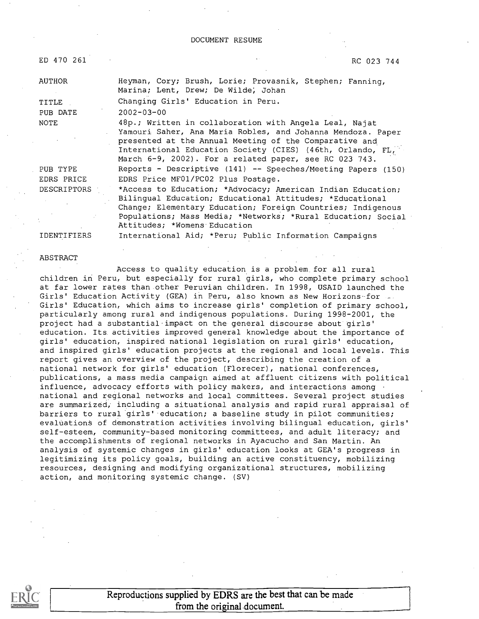$ED$  470 261 RC 023 744

| <b>AUTHOR</b> | Heyman, Cory; Brush, Lorie; Provasnik, Stephen; Fanning,<br>Marina; Lent, Drew; De Wilde, Johan                                                                                                                                                                                                         |
|---------------|---------------------------------------------------------------------------------------------------------------------------------------------------------------------------------------------------------------------------------------------------------------------------------------------------------|
| TITLE         | Changing Girls' Education in Peru.                                                                                                                                                                                                                                                                      |
| PUB DATE      | $2002 - 03 - 00$                                                                                                                                                                                                                                                                                        |
| NOTE          | 48p.; Written in collaboration with Angela Leal, Najat<br>Yamouri Saher, Ana Maria Robles, and Johanna Mendoza. Paper<br>presented at the Annual Meeting of the Comparative and<br>International Education Society (CIES) (46th, Orlando, FL,<br>March 6-9, 2002). For a related paper, see RC 023 743. |
| PUB TYPE      | Reports - Descriptive (141) -- Speeches/Meeting Papers (150)                                                                                                                                                                                                                                            |
| EDRS PRICE    | EDRS Price MF01/PC02 Plus Postage.                                                                                                                                                                                                                                                                      |
| DESCRIPTORS   | *Access to Education; *Advocacy; American Indian Education;<br>Bilingual Education; Educational Attitudes; *Educational<br>Change; Elementary Education; Foreign Countries; Indigenous<br>Populations; Mass Media; *Networks; *Rural Education; Social<br>Attitudes; *Womens Education                  |
| IDENTIFIERS   | International Aid; *Peru; Public Information Campaigns                                                                                                                                                                                                                                                  |

#### ABSTRACT

Access to quality education is a problem for all rural children in Peru, but especially for rural girls, who complete primary school at far lower rates than other Peruvian children. In 1998, USAID launched the Girls' Education Activity (GEA) in Peru, also known as New Horizons-for Girls' Education, which aims to increase girls' completion of primary school, particularly among rural and indigenous populations. During 1998-2001, the project had a substantial impact on the general discourse about girls' education. Its activities improved general knowledge about the importance of girls' education, inspired national legislation on rural girls' education, and inspired girls' education projects at the regional and local levels. This report gives an overview of the project, describing the creation of a national network for girls' education (Florecer), national conferences, publications, a mass media campaign aimed at affluent citizens with political influence, advocacy efforts with policy makers, and interactions among national and regional networks and local committees. Several project studies are summarized, including a situational analysis and rapid rural appraisal of barriers to rural girls' education; a baseline study in pilot communities; evaluationa of demonstration activities involving bilingual education, girls' self-esteem, community-based monitoring committees, and adult literacy; and the accomplishments of regional networks in Ayacucho and San Martin. An analysis of systemic changes in girls' education looks at GEA's progress in legitimizing its policy goals, building an active constituency, mobilizing resources, designing and modifying organizational structures, mobilizing action, and monitoring systemic change. (SV)



Reproductions supplied by EDRS are the best that can be made from the original document.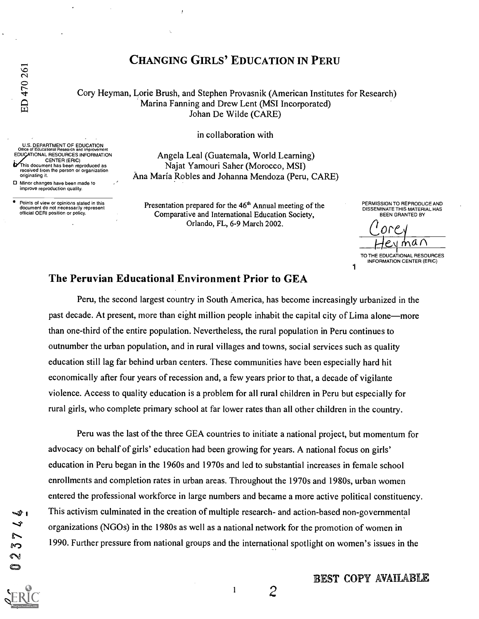originating it.

EDUCATIONAL RESOURCES INFORMATION CENTER (ERIC) This document has been reproduced as received from the person or organization

Points of view or opinions stated in this document do not necessarily represent official OERI position or policy.

1:1 Minor changes have been made to improve reproduction quality.

# CHANGING GIRLS' EDUCATION IN PERU

Cory Heyman, Lorie Brush, and Stephen Provasnik (American Institutes for Research) Marina Fanning and Drew Lent (MSI Incorporated) Johan De Wilde (CARE)

in collaboration with

U.S. DEPARTMENT OF EDUCATION Office of Educational Research and Improvement Angela Leal (Guatemala, World. Learning) Najat Yamouri Saher (Morocco, MSI) Ana Maria Robles and Johanna Mendoza (Peru, CARE)

> Presentation prepared for the 46<sup>th</sup> Annual meeting of the Comparative and International Education Society, Orlando, FL, 6-9 March 2002.

PERMISSION TO REPRODUCE AND DISSEMINATE THIS MATERIAL HAS BEEN GRANTED BY

Ωſ  $\dot{m}$ an

1 TO THE EDUCATIONAL RESOURCES INFORMATION CENTER (ERIC)

## The Peruvian Educational Environment Prior to GEA

Peru, the second largest country in South America, has become increasingly urbanized in the past decade. At present, more than eight million people inhabit the capital city of Lima alone-more than one-third of the entire population. Nevertheless, the rural population in Peru continues to outnumber the urban population, and in rural villages and towns, social services such as quality education still lag far behind urban centers. These communities have been especially hard hit economically after four years of recession and, a few years prior to that, a decade of vigilante violence. Access to quality education is a problem for all rural children in Peru but especially for rural girls, who complete primary school at far lower rates than all other children in the country.

Peru was the last of the three GEA countries to initiate a national project, but momentum for advocacy on behalf of girls' education had been growing for years. A national focus on girls' education in Peru began in the 1960s and 1970s and led to substantial increases in female school enrollments and completion rates in urban areas. Throughout the 1970s and 1980s, urban women entered the professional workforce in large numbers and became a more active political constituency. This activism culminated in the creation of multiple research- and action-based non-governmental organizations (NGOs) in the 1980s as well as a national network for the promotion of women in 1990. Further pressure from national groups and the international spotlight on women's issues in the

M 2



 $\mathbf{1}$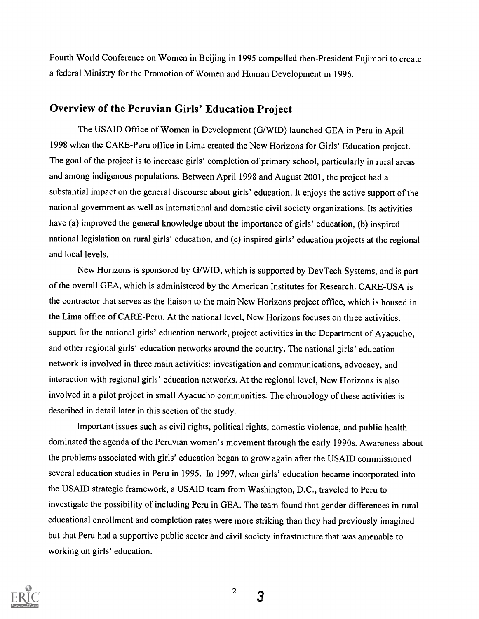Fourth World Conference on Women in Beijing in 1995 compelled then-President Fujimori to create a federal Ministry for the Promotion of Women and Human Development in 1996.

# Overview of the Peruvian Girls' Education Project

The USAID Office of Women in Development (G/WID) launched GEA in Peru in April 1998 when the CARE-Peru office in Lima created the New Horizons for Girls' Education project. The goal of the project is to increase girls' completion of primary school, particularly in rural areas and among indigenous populations. Between April 1998 and August 2001, the project had a substantial impact on the general discourse about girls' education. It enjoys the active support of the national government as well as international and domestic civil society organizations. Its activities have (a) improved the general knowledge about the importance of girls' education, (b) inspired national legislation on rural girls' education, and (c) inspired girls' education projects at the regional and local levels.

New Horizons is sponsored by G/WID, which is supported by DevTech Systems, and is part of the overall GEA, which is administered by the American Institutes for Research. CARE-USA is the contractor that serves as the liaison to the main New Horizons project office, which is housed in the Lima office of CARE-Peru. At the national level, New Horizons focuses on three activities: support for the national girls' education network, project activities in the Department of Ayacucho, and other regional girls' education networks around the country. The national girls' education network is involved in three main activities: investigation and communications, advocacy, and interaction with regional girls' education networks. At the regional level, New Horizons is also involved in a pilot project in small Ayacucho communities. The chronology of these activities is described in detail later in this section of the study.

Important issues such as civil rights, political rights, domestic violence, and public health dominated the agenda of the Peruvian women's movement through the early 1990s. Awareness about the problems associated with girls' education began to grow again after the USAID commissioned several education studies in Peru in 1995. In 1997, when girls' education became incorporated into the USAID strategic framework, a USAID team from Washington, D.C., traveled to Peru to investigate the possibility of including Peru in GEA. The team found that gender differences in rural educational enrollment and completion rates were more striking than they had previously imagined but that Peru had a supportive public sector and civil society infrastructure that was amenable to working on girls' education.



2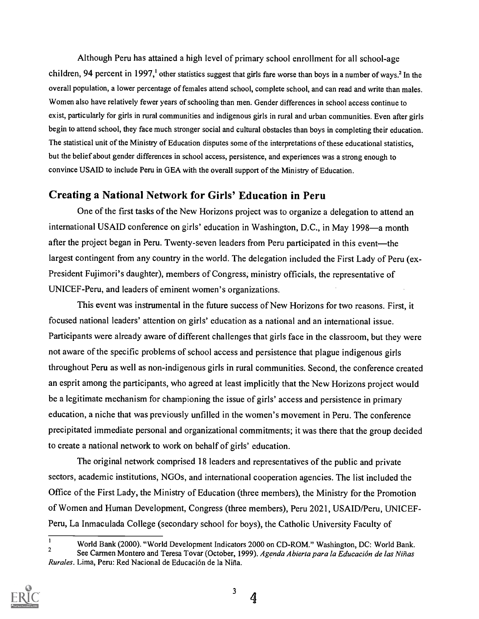Although Peru has attained a high level of primary school enrollment for all school-age children, 94 percent in 1997,<sup>1</sup> other statistics suggest that girls fare worse than boys in a number of ways.<sup>2</sup> In the overall population, a lower percentage of females attend school, complete school, and can read and write than males. Women also have relatively fewer years of schooling than men. Gender differences in school access continue to exist, particularly for girls in rural communities and indigenous girls in rural and urban communities. Even after girls begin to attend school, they face much stronger social and cultural obstacles than boys in completing their education. The statistical unit of the Ministry of Education disputes some of the interpretations of these educational statistics, but the belief about gender differences in school access, persistence, and experiences was a strong enough to convince USAID to include Peru in GEA with the overall support of the Ministry of Education.

# Creating a National Network for Girls' Education in Peru

One of the first tasks of the New Horizons project was to organize a delegation to attend an international USAID conference on girls' education in Washington, D.C., in May 1998—a month after the project began in Peru. Twenty-seven leaders from Peru participated in this event—the largest contingent from any country in the world. The delegation included the First Lady of Peru (ex-President Fujimori's daughter), members of Congress, ministry officials, the representative of UNICEF-Peru, and leaders of eminent women's organizations.

This event was instrumental in the future success of New Horizons for two reasons. First, it focused national leaders' attention on girls' education as a national and an international issue. Participants were already aware of different challenges that girls face in the classroom, but they were not aware of the specific problems of school access and persistence that plague indigenous girls throughout Peru as well as non-indigenous girls in rural communities. Second, the conference created an esprit among the participants, who agreed at least implicitly that the New Horizons project would be a legitimate mechanism for championing the issue of girls' access and persistence in primary education, a niche that was previously unfilled in the women's movement in Peru. The conference precipitated immediate personal and organizational commitments; it was there that the group decided to create a national network to work on behalf of girls' education.

The original network comprised 18 leaders and representatives of the public and private sectors, academic institutions, NGOs, and international cooperation agencies. The list included the Office of the First Lady, the Ministry of Education (three members), the Ministry for the Promotion of Women and Human Development, Congress (three members), Peru 2021, USAID/Peru, UNICEF-Peru, La Inmaculada College (secondary school for boys), the Catholic University Faculty of



<sup>&</sup>lt;sup>1</sup> World Bank (2000). "World Development Indicators 2000 on CD-ROM." Washington, DC: World Bank.<br><sup>2</sup> See Carmen Montero and Teresa Tovar (October, 1999). Agenda Abierta para la Educación de las Niñas Rurales. Lima, Peru: Red Nacional de Educación de la Niña.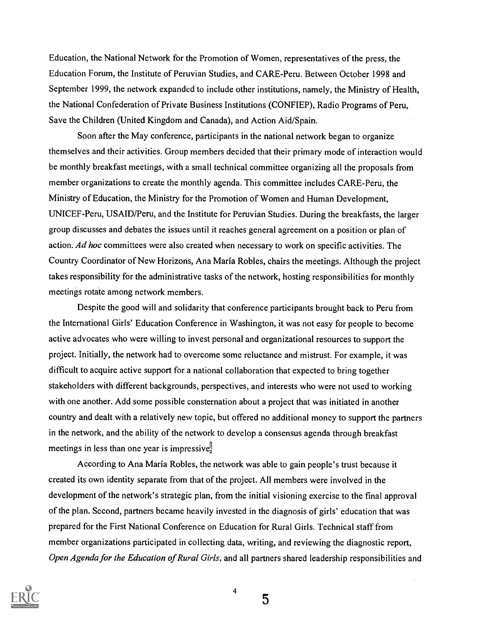Education, the National Network for the Promotion of Women, representatives of the press, the Education Forum, the Institute of Peruvian Studies, and CARE-Peru. Between October 1998 and September 1999, the network expanded to include other institutions, namely, the Ministry of Health, the National Confederation of Private Business Institutions (CONFIEP), Radio Programs of Peru, Save the Children (United Kingdom and Canada), and Action Aid/Spain.

Soon after the May conference, participants in the national network began to organize themselves and their activities. Group members decided that their primary mode of interaction would be monthly breakfast meetings, with a small technical committee organizing all the proposals from member organizations to create the monthly agenda. This committee includes CARE-Peru, the Ministry of Education, the Ministry for the Promotion of Women and Human Development, UNICEF-Peru, USAID/Peru, and the Institute for Peruvian Studies. During the breakfasts, the larger group discusses and debates the issues until it reaches general agreement on a position or plan of action. Ad hoc committees were also created when necessary to work on specific activities. The Country Coordinator of New Horizons, Ana Maria Robles, chairs the meetings. Although the project takes responsibility for the administrative tasks of the network, hosting responsibilities for monthly meetings rotate among network members.

Despite the good will and solidarity that conference participants brought back to Peru from the International Girls' Education Conference in Washington, it was not easy for people to become active advocates who were willing to invest personal and organizational resources to support the project. Initially, the network had to overcome some reluctance and mistrust. For example, it was difficult to acquire active support for a national collaboration that expected to bring together stakeholders with different backgrounds, perspectives, and interests who were not used to working with one another. Add some possible consternation about a project that was initiated in another country and dealt with a relatively new topic, but offered no additional money to support the partners in the network, and the ability of the network to develop a consensus agenda through breakfast meetings in less than one year is impressive!

According to Ana Maria Robles, the network was able to gain people's trust because it created its own identity separate from that of the project. All members were involved in the development of the network's strategic plan, from the initial visioning exercise to the final approval of the plan. Second, partners became heavily invested in the diagnosis of girls' education that was prepared for the First National Conference on Education for Rural Girls. Technical staff from member organizations participated in collecting data, writing, and reviewing the diagnostic report, Open Agenda for the Education of Rural Girls, and all partners shared leadership responsibilities and



4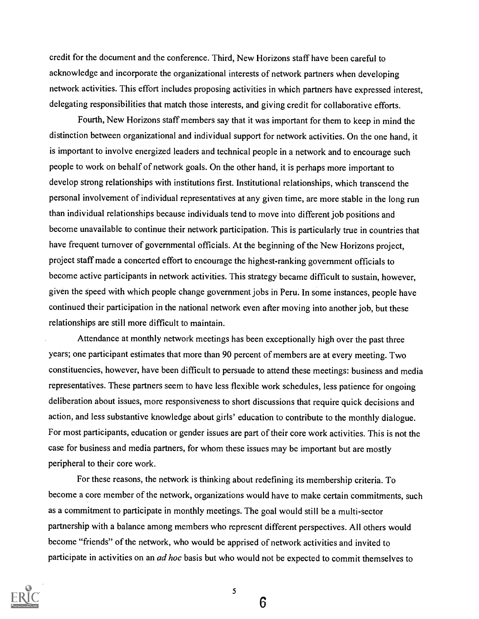credit for the document and the conference. Third, New Horizons staff have been careful to acknowledge and incorporate the organizational interests of network partners when developing network activities. This effort includes proposing activities in which partners have expressed interest, delegating responsibilities that match those interests, and giving credit for collaborative efforts.

Fourth, New Horizons staff members say that it was important for them to keep in mind the distinction between organizational and individual support for network activities. On the one hand, it is important to involve energized leaders and technical people in a network and to encourage such people to work on behalf of network goals. On the other hand, it is perhaps more important to develop strong relationships with institutions first. Institutional relationships, which transcend the personal involvement of individual representatives at any given time, are more stable in the long run than individual relationships because individuals tend to move into different job positions and become unavailable to continue their network participation. This is particularly true in countries that have frequent turnover of governmental officials. At the beginning of the New Horizons project, project staff made a concerted effort to encourage the highest-ranking government officials to become active participants in network activities. This strategy became difficult to sustain, however, given the speed with which people change government jobs in Peru. In some instances, people have continued their participation in the national network even after moving into another job, but these relationships are still more difficult to maintain.

Attendance at monthly network meetings has been exceptionally high over the past three years; one participant estimates that more than 90 percent of members are at every meeting. Two constituencies, however, have been difficult to persuade to attend these meetings: business and media representatives. These partners seem to have less flexible work schedules, less patience for ongoing deliberation about issues, more responsiveness to short discussions that require quick decisions and action, and less substantive knowledge about girls' education to contribute to the monthly dialogue. For most participants, education or gender issues are part of their core work activities. This is not the case for business and media partners, for whom these issues may be important but are mostly peripheral to their core work.

For these reasons, the network is thinking about redefining its membership criteria. To become a core member of the network, organizations would have to make certain commitments, such as a commitment to participate in monthly meetings. The goal would still be a multi-sector partnership with a balance among members who represent different perspectives. All others would become "friends" of the network, who would be apprised of network activities and invited to participate in activities on an *ad hoc* basis but who would not be expected to commit themselves to



5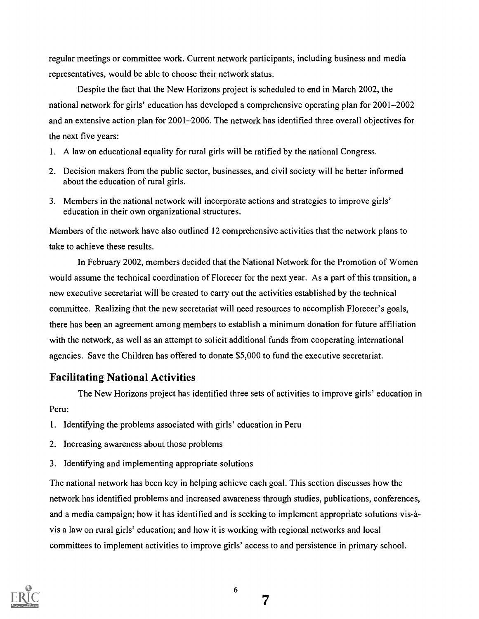regular meetings or committee work. Current network participants, including business and media representatives, would be able to choose their network status.

Despite the fact that the New Horizons project is scheduled to end in March 2002, the national network for girls' education has developed a comprehensive operating plan for 2001-2002 and an extensive action plan for 2001-2006. The network has identified three overall objectives for the next five years:

- 1. A law on educational equality for rural girls will be ratified by the national Congress.
- 2. Decision makers from the public sector, businesses, and civil society will be better informed about the education of rural girls.
- 3. Members in the national network will incorporate actions and strategies to improve girls' education in their own organizational structures.

Members of the network have also outlined 12 comprehensive activities that the network plans to take to achieve these results.

In February 2002, members decided that the National Network for the Promotion of Women would assume the technical coordination of Florecer for the next year. As a part of this transition, a new executive secretariat will be created to carry out the activities established by the technical committee. Realizing that the new secretariat will need resources to accomplish Florecer's goals, there has been an agreement among members to establish a minimum donation for future affiliation with the network, as well as an attempt to solicit additional funds from cooperating international agencies. Save the Children has offered to donate \$5,000 to fund the executive secretariat.

# Facilitating National Activities

The New Horizons project has identified three sets of activities to improve girls' education in Peru:

- 1. Identifying the problems associated with girls' education in Peru
- 2. Increasing awareness about those problems
- 3. Identifying and implementing appropriate solutions

The national network has been key in helping achieve each goal. This section discusses how the network has identified problems and increased awareness through studies, publications, conferences, and a media campaign; how it has identified and is seeking to implement appropriate solutions vis-àvis a law on rural girls' education; and how it is working with regional networks and local committees to implement activities to improve girls' access to and persistence in primary school.

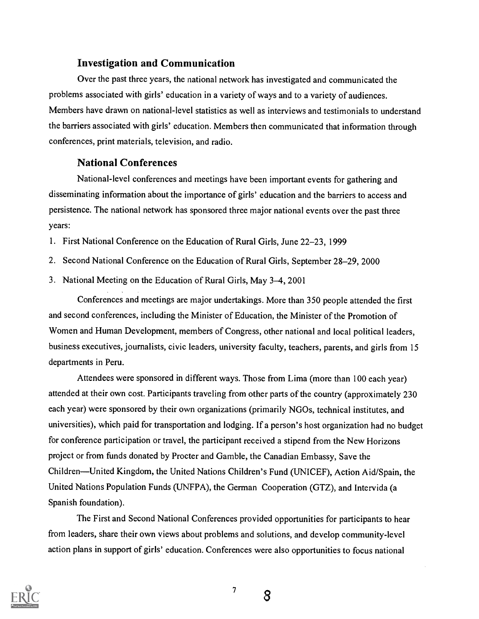## Investigation and Communication

Over the past three years, the national network has investigated and communicated the problems associated with girls' education in a variety of ways and to a variety of audiences. Members have drawn on national-level statistics as well as interviews and testimonials to understand the barriers associated with girls' education. Members then communicated that information through conferences, print materials, television, and radio.

## National Conferences

National-level conferences and meetings have been important events for gathering and disseminating information about the importance of girls' education and the barriers to access and persistence. The national network has sponsored three major national events over the past three years:

1. First National Conference on the Education of Rural Girls, June 22-23,1999

- 2. Second National Conference on the Education of Rural Girls, September 28-29,2000
- 3. National Meeting on the Education of Rural Girls, May 3-4,2001

Conferences and meetings are major undertakings. More than 350 people attended the first and second conferences, including the Minister of Education, the Minister of the Promotion of Women and Human Development, members of Congress, other national and local political leaders, business executives, journalists, civic leaders, university faculty, teachers, parents, and girls from 15 departments in Peru.

Attendees were sponsored in different ways. Those from Lima (more than 100 each year) attended at their own cost. Participants traveling from other parts of the country (approximately 230 each year) were sponsored by their own organizations (primarily NGOs, technical institutes, and universities), which paid for transportation and lodging. If a person's host organization had no budget for conference participation or travel, the participant received a stipend from the New Horizons project or from funds donated by Procter and Gamble, the Canadian Embassy, Save the Children—United Kingdom, the United Nations Children's Fund (UNICEF), Action Aid/Spain, the United Nations Population Funds (UNFPA), the German Cooperation (GTZ), and Intervida (a Spanish foundation).

The First and Second National Conferences provided opportunities for participants to hear from leaders, share their own views about problems and solutions, and develop community-level action plans in support of girls' education. Conferences were also opportunities to focus national



7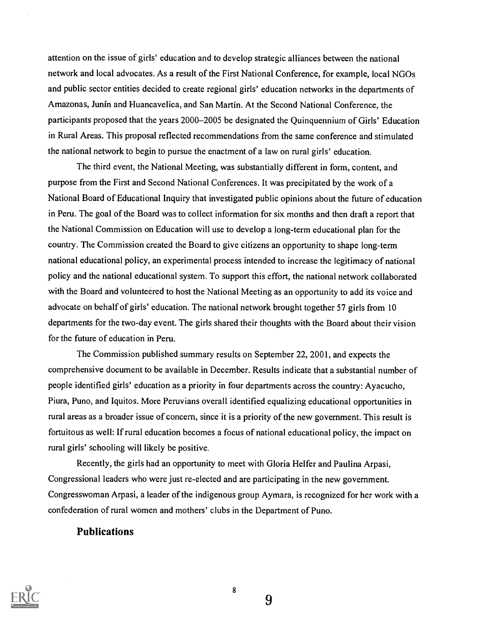attention on the issue of girls' education and to develop strategic alliances between the national network and local advocates. As a result of the First National Conference, for example, local NGOs and public sector entities decided to create regional girls' education networks in the departments of Amazonas, Junin and Huancavelica, and San Martin. At the Second National Conference, the participants proposed that the years 2000-2005 be designated the Quinquennium of Girls' Education in Rural Areas. This proposal reflected recommendations from the same conference and stimulated the national network to begin to pursue the enactment of a law on rural girls' education.

The third event, the National Meeting, was substantially different in form, content, and purpose from the First and Second National Conferences. It was precipitated by the work of a National Board of Educational Inquiry that investigated public opinions about the future of education in Peru. The goal of the Board was to collect information for six months and then draft a report that the National Commission on Education will use to develop a long-term educational plan for the country. The Commission created the Board to give citizens an opportunity to shape long-term national educational policy, an experimental process intended to increase the legitimacy of national policy and the national educational system. To support this effort, the national network collaborated with the Board and volunteered to host the National Meeting as an opportunity to add its voice and advocate on behalf of girls' education. The national network brought together 57 girls from 10 departments for the two-day event. The girls shared their thoughts with the Board about their vision for the future of education in Peru.

The Commission published summary results on September 22, 2001, and expects the comprehensive document to be available in December. Results indicate that a substantial number of people identified girls' education as a priority in four departments across the country: Ayacucho, Piura, Puno, and Iquitos. More Peruvians overall identified equalizing educational opportunities in rural areas as a broader issue of concern, since it is a priority of the new government. This result is fortuitous as well: If rural education becomes a focus of national educational policy, the impact on rural girls' schooling will likely be positive.

Recently, the girls had an opportunity to meet with Gloria Helfer and Paulina Arpasi, Congressional leaders who were just re-elected and are participating in the new government. Congresswoman Arpasi, a leader of the indigenous group Aymara, is recognized for her work with a confederation of rural women and mothers' clubs in the Department of Puno.

### Publications



8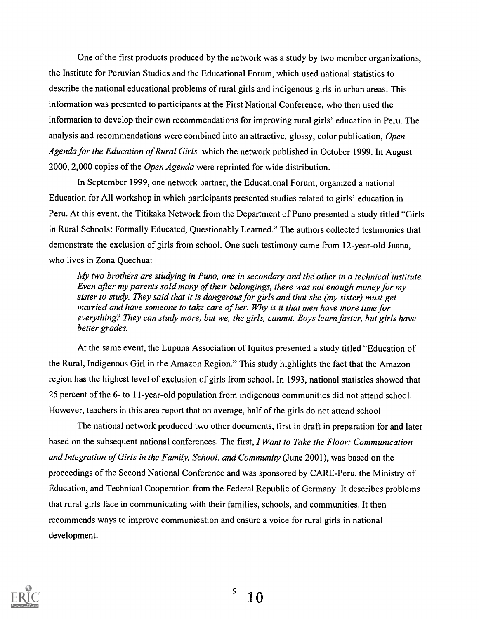One of the first products produced by the network was a study by two member organizations, the Institute for Peruvian Studies and the Educational Forum, which used national statistics to describe the national educational problems of rural girls and indigenous girls in urban areas. This information was presented to participants at the First National Conference, who then used the information to develop their own recommendations for improving rural girls' education in Peru. The analysis and recommendations were combined into an attractive, glossy, color publication, Open Agenda for the Education of Rural Girls, which the network published in October 1999. In August 2000, 2,000 copies of the Open Agenda were reprinted for wide distribution.

In September 1999, one network partner, the Educational Forum, organized a national Education for All workshop in which participants presented studies related to girls' education in Peru. At this event, the Titikaka Network from the Department of Puno presented a study titled "Girls in Rural Schools: Formally Educated, Questionably Learned." The authors collected testimonies that demonstrate the exclusion of girls from school. One such testimony came from 12-year-old Juana, who lives in Zona Quechua:

My two brothers are studying in Puno, one in secondary and the other in a technical institute. Even after my parents sold many of their belongings, there was not enough money for my sister to study. They said that it is dangerous for girls and that she (my sister) must get married and have someone to take care of her. Why is it that men have more time for everything? They can study more, but we, the girls, cannot. Boys learn faster, but girls have better grades.

At the same event, the Lupuna Association of Iquitos presented a study titled "Education of the Rural, Indigenous Girl in the Amazon Region." This study highlights the fact that the Amazon region has the highest level of exclusion of girls from school. In 1993, national statistics showed that 25 percent of the 6- to 11-year-old population from indigenous communities did not attend school. However, teachers in this area report that on average, half of the girls do not attend school.

The national network produced two other documents, first in draft in preparation for and later based on the subsequent national conferences. The first, I Want to Take the Floor: Communication and Integration of Girls in the Family, School, and Community (June 2001), was based on the proceedings of the Second National Conference and was sponsored by CARE-Peru, the Ministry of Education, and Technical Cooperation from the Federal Republic of Germany. It describes problems that rural girls face in communicating with their families, schools, and communities. It then recommends ways to improve communication and ensure a voice for rural girls in national development.

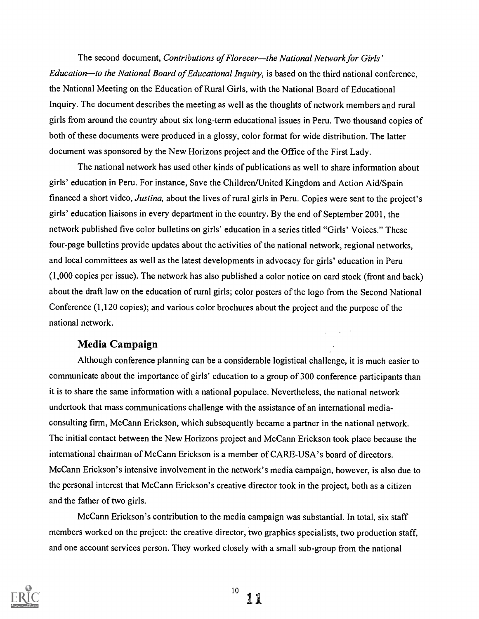The second document, Contributions of Florecer—the National Network for Girls' Education—to the National Board of Educational Inquiry, is based on the third national conference, the National Meeting on the Education of Rural Girls, with the National Board of Educational Inquiry. The document describes the meeting as well as the thoughts of network members and rural girls from around the country about six long-term educational issues in Peru. Two thousand copies of both of these documents were produced in a glossy, color format for wide distribution. The latter document was sponsored by the New Horizons project and the Office of the First Lady.

The national network has used other kinds of publications as well to share information about girls' education in Peru. For instance, Save the Children/United Kingdom and Action Aid/Spain financed a short video, Justina, about the lives of rural girls in Peru. Copies were sent to the project's girls' education liaisons in every department in the country. By the end of September 2001, the network published five color bulletins on girls' education in a series titled "Girls' Voices." These four-page bulletins provide updates about the activities of the national network, regional networks, and local committees as well as the latest developments in advocacy for girls' education in Peru (1,000 copies per issue). The network has also published a color notice on card stock (front and back) about the draft law on the education of rural girls; color posters of the logo from the Second National Conference (1,120 copies); and various color brochures about the project and the purpose of the national network.

### Media Campaign

Although conference planning can be a considerable logistical challenge, it is much easier to communicate about the importance of girls' education to a group of 300 conference participants than it is to share the same information with a national populace. Nevertheless, the national network undertook that mass communications challenge with the assistance of an international mediaconsulting firm, McCann Erickson, which subsequently became a partner in the national network. The initial contact between the New Horizons project and McCann Erickson took place because the international chairman of McCann Erickson is a member of CARE-USA's board of directors. McCann Erickson's intensive involvement in the network's media campaign, however, is also due to the personal interest that McCann Erickson's creative director took in the project, both as a citizen and the father of two girls.

McCann Erickson's contribution to the media campaign was substantial. In total, six staff members worked on the project: the creative director, two graphics specialists, two production staff, and one account services person. They worked closely with a small sub-group from the national

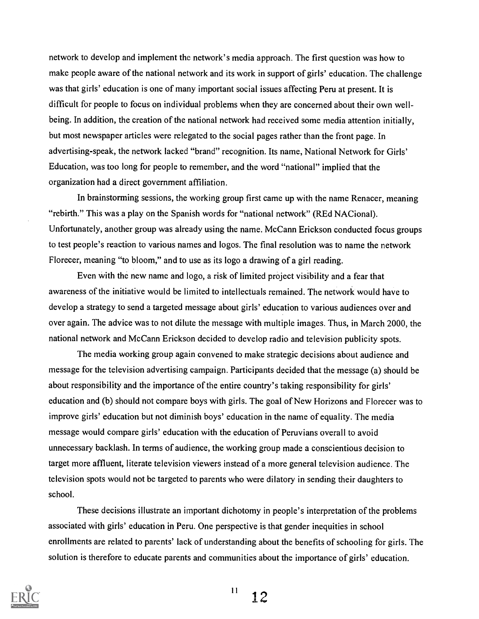network to develop and implement the network's media approach. The first question was how to make people aware of the national network and its work in support of girls' education. The challenge was that girls' education is one of many important social issues affecting Peru at present. It is difficult for people to focus on individual problems when they are concerned about their own wellbeing. In addition, the creation of the national network had received some media attention initially, but most newspaper articles were relegated to the social pages rather than the front page. In advertising-speak, the network lacked "brand" recognition. Its name, National Network for Girls' Education, was too long for people to remember, and the word "national" implied that the organization had a direct government affiliation.

In brainstorming sessions, the working group first came up with the name Renacer, meaning "rebirth." This was a play on the Spanish words for "national network" (REd NACional). Unfortunately, another group was already using the name. McCann Erickson conducted focus groups to test people's reaction to various names and logos. The final resolution was to name the network Florecer, meaning "to bloom," and to use as its logo a drawing of a girl reading.

Even with the new name and logo, a risk of limited project visibility and a fear that awareness of the initiative would be limited to intellectuals remained. The network would have to develop a strategy to send a targeted message about girls' education to various audiences over and over again. The advice was to not dilute the message with multiple images. Thus, in March 2000, the national network and McCann Erickson decided to develop radio and television publicity spots.

The media working group again convened to make strategic decisions about audience and message for the television advertising campaign. Participants decided that the message (a) should be about responsibility and the importance of the entire country's taking responsibility for girls' education and (b) should not compare boys with girls. The goal of New Horizons and Florecer was to improve girls' education but not diminish boys' education in the name of equality. The media message would compare girls' education with the education of Peruvians overall to avoid unnecessary backlash. In terms of audience, the working group made a conscientious decision to target more affluent, literate television viewers instead of a more general television audience. The television spots would not be targeted to parents who were dilatory in sending their daughters to school.

These decisions illustrate an important dichotomy in people's interpretation of the problems associated with girls' education in Peru. One perspective is that gender inequities in school enrollments are related to parents' lack of understanding about the benefits of schooling for girls. The solution is therefore to educate parents and communities about the importance of girls' education.

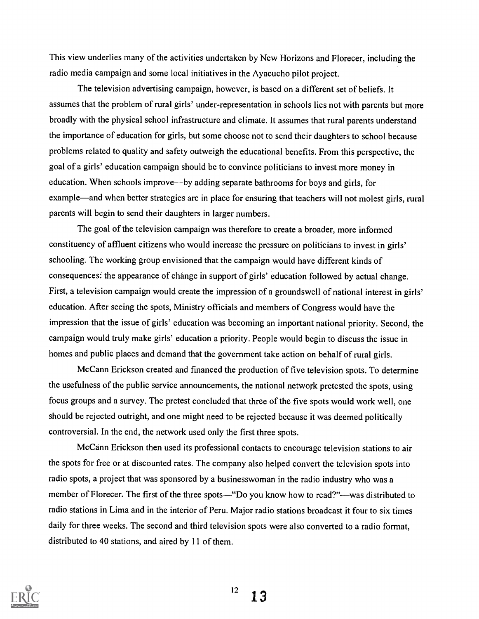This view underlies many of the activities undertaken by New Horizons and Florecer, including the radio media campaign and some local initiatives in the Ayacucho pilot project.

The television advertising campaign, however, is based on a different set of beliefs. It assumes that the problem of rural girls' under-representation in schools lies not with parents but more broadly with the physical school infrastructure and climate. It assumes that rural parents understand the importance of education for girls, but some choose not to send their daughters to school because problems related to quality and safety outweigh the educational benefits. From this perspective, the goal of a girls' education campaign should be to convince politicians to invest more money in education. When schools improve—by adding separate bathrooms for boys and girls, for example—and when better strategies are in place for ensuring that teachers will not molest girls, rural parents will begin to send their daughters in larger numbers.

The goal of the television campaign was therefore to create a broader, more informed constituency of affluent citizens who would increase the pressure on politicians to invest in girls' schooling. The working group envisioned that the campaign would have different kinds of consequences: the appearance of change in support of girls' education followed by actual change. First, a television campaign would create the impression of a groundswell of national interest in girls' education. After seeing the spots, Ministry officials and members of Congress would have the impression that the issue of girls' education was becoming an important national priority. Second, the campaign would truly make girls' education a priority. People would begin to discuss the issue in homes and public places and demand that the government take action on behalf of rural girls.

McCann Erickson created and financed the production of five television spots. To determine the usefulness of the public service announcements, the national network pretested the spots, using focus groups and a survey. The pretest concluded that three of the five spots would work well, one should be rejected outright, and one might need to be rejected because it was deemed politically controversial. In the end, the network used only the first three spots.

McCann Erickson then used its professional contacts to encourage television stations to air the spots for free or at discounted rates. The company also helped convert the television spots into radio spots, a project that was sponsored by a businesswoman in the radio industry who was a member of Florecer. The first of the three spots—"Do you know how to read?"—was distributed to radio stations in Lima and in the interior of Peru. Major radio stations broadcast it four to six times daily for three weeks. The second and third television spots were also converted to a radio format, distributed to 40 stations, and aired by 11 of them.

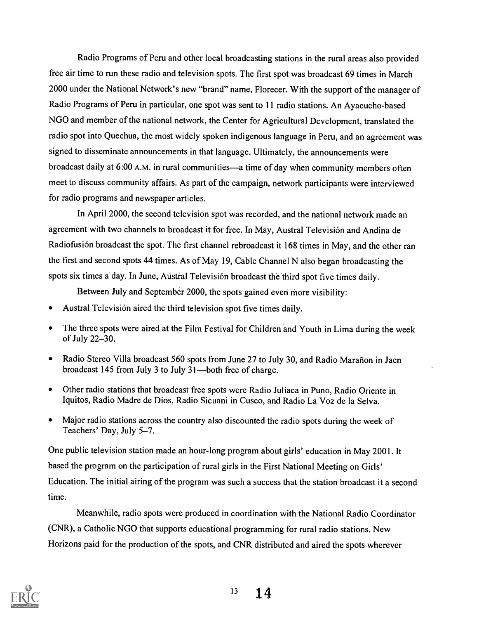Radio Programs of Peru and other local broadcasting stations in the rural areas also provided free air time to run these radio and television spots. The first spot was broadcast 69 times in March 2000 under the National Network's new "brand" name, Florecer. With the support of the manager of Radio Programs of Peru in particular, one spot was sent to 11 radio stations. An Ayacucho-based NGO and member of the national network, the Center for Agricultural Development, translated the radio spot into Quechua, the most widely spoken indigenous language in Peru, and an agreement was signed to disseminate announcements in that language. Ultimately, the announcements were broadcast daily at 6:00 A.M. in rural communities—a time of day when community members often meet to discuss community affairs. As part of the campaign, network participants were interviewed for radio programs and newspaper articles.

In April 2000, the second television spot was recorded, and the national network made an agreement with two channels to broadcast it for free. In May, Austral Television and Andina de Radiofusión broadcast the spot. The first channel rebroadcast it 168 times in May, and the other ran the first and second spots 44 times. As of May 19, Cable Channel N also began broadcasting the spots six times a day. In June, Austral Television broadcast the third spot five times daily.

Between July and September 2000, the spots gained even more visibility:

- Austral Television aired the third television spot five times daily.
- The three spots were aired at the Film Festival for Children and Youth in Lima during the week  $\bullet$ of July 22-30.
- Radio Stereo Villa broadcast 560 spots from June 27 to July 30, and Radio Mararion in Jaen  $\bullet$ broadcast  $145$  from July 3 to July  $31$ —both free of charge.
- Other radio stations that broadcast free spots were Radio Juliaca in Puno, Radio Oriente in Iquitos, Radio Madre de Dios, Radio Sicuani in Cusco, and Radio La Voz de la Selva.
- Major radio stations across the country also discounted the radio spots during the week of  $\bullet$ Teachers' Day, July 5-7.

One public television station made an hour-long program about girls' education in May 2001. It based the program on the participation of rural girls in the First National Meeting on Girls' Education. The initial airing of the program was such a success that the station broadcast it a second time.

Meanwhile, radio spots were produced in coordination with the National Radio Coordinator (CNR), a Catholic NGO that supports educational programming for rural radio stations. New Horizons paid for the production of the spots, and CNR distributed and aired the spots wherever

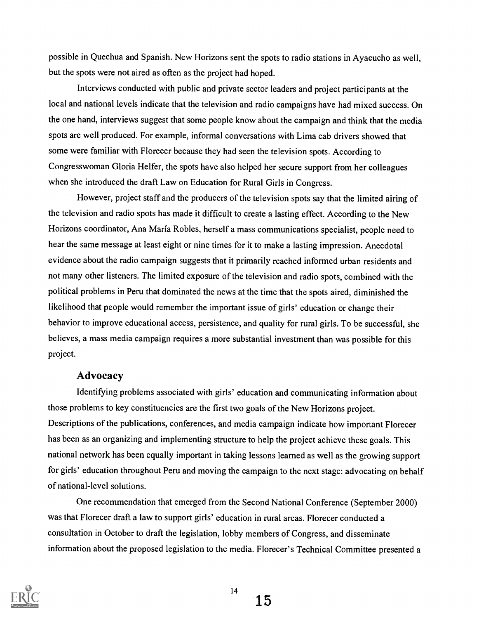possible in Quechua and Spanish. New Horizons sent the spots to radio stations in Ayacucho as well, but the spots were not aired as often as the project had hoped.

Interviews conducted with public and private sector leaders and project participants at the local and national levels indicate that the television and radio campaigns have had mixed success. On the one hand, interviews suggest that some people know about the campaign and think that the media spots are well produced. For example, informal conversations with Lima cab drivers showed that some were familiar with Florecer because they had seen the television spots. According to Congresswoman Gloria Helfer, the spots have also helped her secure support from her colleagues when she introduced the draft Law on Education for Rural Girls in Congress.

However, project staff and the producers of the television spots say that the limited airing of the television and radio spots has made it difficult to create a lasting effect. According to the New Horizons coordinator, Ana Maria Robles, herself a mass communications specialist, people need to hear the same message at least eight or nine times for it to make a lasting impression. Anecdotal evidence about the radio campaign suggests that it primarily reached informed urban residents and not many other listeners. The limited exposure of the television and radio spots, combined with the political problems in Peru that dominated the news at the time that the spots aired, diminished the likelihood that people would remember the important issue of girls' education or change their behavior to improve educational access, persistence, and quality for rural girls. To be successful, she believes, a mass media campaign requires a more substantial investment than was possible for this project.

### Advocacy

Identifying problems associated with girls' education and communicating information about those problems to key constituencies are the first two goals of the New Horizons project. Descriptions of the publications, conferences, and media campaign indicate how important Florecer has been as an organizing and implementing structure to help the project achieve these goals. This national network has been equally important in taking lessons learned as well as the growing support for girls' education throughout Peru and moving the campaign to the next stage: advocating on behalf of national-level solutions.

One recommendation that emerged from the Second National Conference (September 2000) was that Florecer draft a law to support girls' education in rural areas. Florecer conducted a consultation in October to draft the legislation, lobby members of Congress, and disseminate information about the proposed legislation to the media. Florecer's Technical Committee presented a



14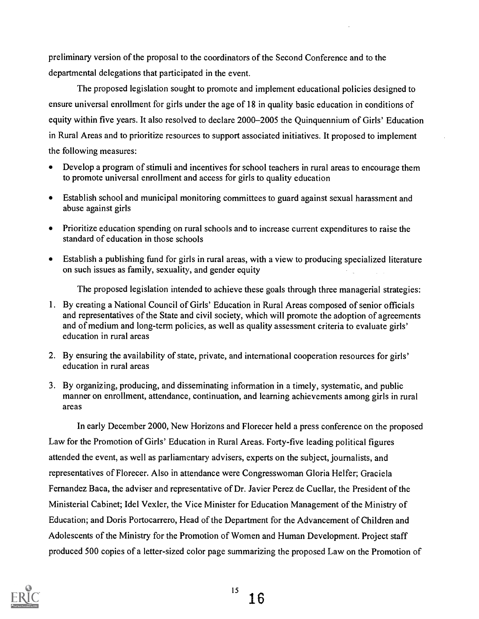preliminary version of the proposal to the coordinators of the Second Conference and to the departmental delegations that participated in the event.

The proposed legislation sought to promote and implement educational policies designed to ensure universal enrollment for girls under the age of 18 in quality basic education in conditions of equity within five years. It also resolved to declare 2000-2005 the Quinquennium of Girls' Education in Rural Areas and to prioritize resources to support associated initiatives. It proposed to implement the following measures:

- Develop a program of stimuli and incentives for school teachers in rural areas to encourage them to promote universal enrollment and access for girls to quality education
- Establish school and municipal monitoring committees to guard against sexual harassment and  $\bullet$ abuse against girls
- Prioritize education spending on rural schools and to increase current expenditures to raise the standard of education in those schools
- Establish a publishing fund for girls in rural areas, with a view to producing specialized literature  $\bullet$ on such issues as family, sexuality, and gender equity

The proposed legislation intended to achieve these goals through three managerial strategies:

- 1. By creating a National Council of Girls' Education in Rural Areas composed of senior officials and representatives of the State and civil society, which will promote the adoption of agreements and of medium and long-term policies, as well as quality assessment criteria to evaluate girls' education in rural areas
- 2. By ensuring the availability of state, private, and international cooperation resources for girls' education in rural areas
- 3. By organizing, producing, and disseminating information in a timely, systematic, and public manner on enrollment, attendance, continuation, and learning achievements among girls in rural areas

In early December 2000, New Horizons and Florecer held a press conference on the proposed Law for the Promotion of Girls' Education in Rural Areas. Forty-five leading political figures attended the event, as well as parliamentary advisers, experts on the subject, journalists, and representatives of Florecer. Also in attendance were Congresswoman Gloria Helfer; Graciela Fernandez Baca, the adviser and representative of Dr. Javier Perez de Cuellar, the President of the Ministerial Cabinet; Idel Vexler, the Vice Minister for Education Management of the Ministry of Education; and Doris Portocarrero, Head of the Department for the Advancement of Children and Adolescents of the Ministry for the Promotion of Women and Human Development. Project staff produced 500 copies of a letter-sized color page summarizing the proposed Law on the Promotion of

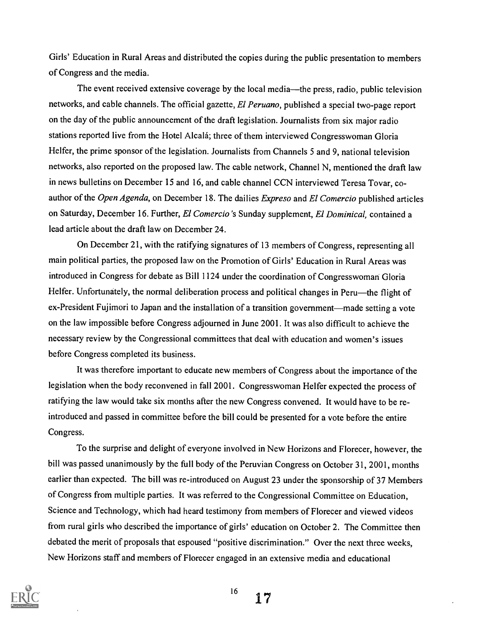Girls' Education in Rural Areas and distributed the copies during the public presentation to members of Congress and the media.

The event received extensive coverage by the local media—the press, radio, public television networks, and cable channels. The official gazette, *El Peruano*, published a special two-page report on the day of the public announcement of the draft legislation. Journalists from six major radio stations reported live from the Hotel Alcalá; three of them interviewed Congresswoman Gloria Helfer, the prime sponsor of the legislation. Journalists from Channels 5 and 9, national television networks, also reported on the proposed law. The cable network, Channel N, mentioned the draft law in news bulletins on December 15 and 16, and cable channel CCN interviewed Teresa Tovar, coauthor of the Open Agenda, on December 18. The dailies Expreso and El Comercio published articles on Saturday, December 16. Further, El Comercio 's Sunday supplement, El Dominical, contained a lead article about the draft law on December 24.

On December 21, with the ratifying signatures of 13 members of Congress, representing all main political parties, the proposed law on the Promotion of Girls' Education in Rural Areas was introduced in Congress for debate as Bill 1124 under the coordination of Congresswoman Gloria Helfer. Unfortunately, the normal deliberation process and political changes in Peru—the flight of ex-President Fujimori to Japan and the installation of a transition government—made setting a vote on the law impossible before Congress adjourned in June 2001. It was also difficult to achieve the necessary review by the Congressional committees that deal with education and women's issues before Congress completed its business.

It was therefore important to educate new members of Congress about the importance of the legislation when the body reconvened in fall 2001. Congresswoman Helfer expected the process of ratifying the law would take six months after the new Congress convened. It would have to be reintroduced and passed in committee before the bill could be presented for a vote before the entire Congress.

To the surprise and delight of everyone involved in New Horizons and Florecer, however, the bill was passed unanimously by the full body of the Peruvian Congress on October 31, 2001, months earlier than expected. The bill was re-introduced on August 23 under the sponsorship of 37 Members of Congress from multiple parties. It was referred to the Congressional Committee on Education, Science and Technology, which had heard testimony from members of Florecer and viewed videos from rural girls who described the importance of girls' education on October 2. The Committee then debated the merit of proposals that espoused "positive discrimination." Over the next three weeks, New Horizons staff and members of Florecer engaged in an extensive media and educational



16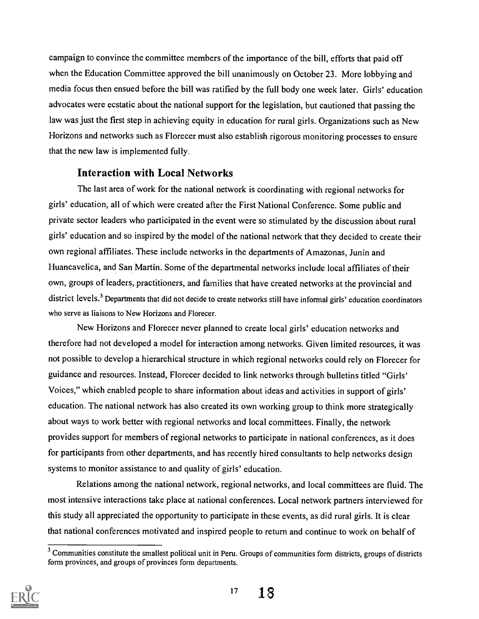campaign to convince the committee members of the importance of the bill, efforts that paid off when the Education Committee approved the bill unanimously on October 23. More lobbying and media focus then ensued before the bill was ratified by the full body one week later. Girls' education advocates were ecstatic about the national support for the legislation, but cautioned that passing the law was just the first step in achieving equity in education for rural girls. Organizations such as New Horizons and networks such as Florecer must also establish rigorous monitoring processes to ensure that the new law is implemented fully.

# Interaction with Local Networks

The last area of work for the national network is coordinating with regional networks for girls' education, all of which were created after the First National Conference. Some public and private sector leaders who participated in the event were so stimulated by the discussion about rural girls' education and so inspired by the model of the national network that they decided to create their own regional affiliates. These include networks in the departments of Amazonas, Junin and Huancavelica, and San Martin. Some of the departmental networks include local affiliates of their own, groups of leaders, practitioners, and families that have created networks at the provincial and district levels.<sup>3</sup> Departments that did not decide to create networks still have informal girls' education coordinators who serve as liaisons to New Horizons and Florecer.

New Horizons and Florecer never planned to create local girls' education networks and therefore had not developed a model for interaction among networks. Given limited resources, it was not possible to develop a hierarchical structure in which regional networks could rely on Florecer for guidance and resources. Instead, Florecer decided to link networks through bulletins titled "Girls' Voices," which enabled people to share information about ideas and activities in support of girls' education. The national network has also created its own working group to think more strategically about ways to work better with regional networks and local committees. Finally, the network provides support for members of regional networks to participate in national conferences, as it does for participants from other departments, and has recently hired consultants to help networks design systems to monitor assistance to and quality of girls' education.

Relations among the national network, regional networks, and local committees are fluid. The most intensive interactions take place at national conferences. Local network partners interviewed for this study all appreciated the opportunity to participate in these events, as did rural girls. It is clear that national conferences motivated and inspired people to return and continue to work on behalf of

<sup>&</sup>lt;sup>3</sup> Communities constitute the smallest political unit in Peru. Groups of communities form districts, groups of districts form provinces, and groups of provinces form departments.

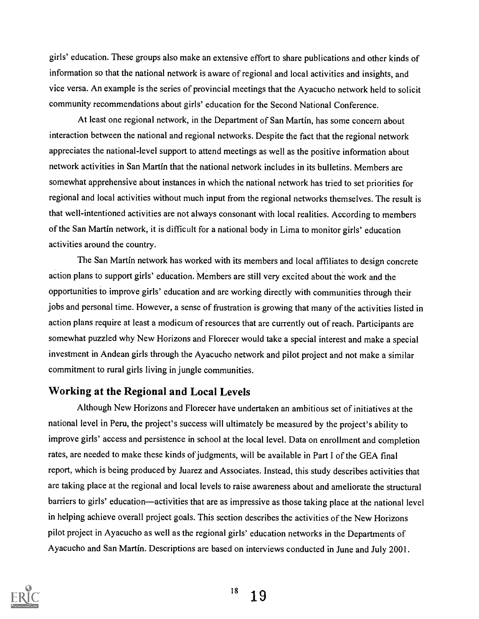girls' education. These groups also make an extensive effort to share publications and other kinds of information so that the national network is aware of regional and local activities and insights, and vice versa. An example is the series of provincial meetings that the Ayacucho network held to solicit community recommendations about girls' education for the Second National Conference.

At least one regional network, in the Department of San Martin, has some concern about interaction between the national and regional networks. Despite the fact that the regional network appreciates the national-level support to attend meetings as well as the positive information about network activities in San Martin that the national network includes in its bulletins. Members are somewhat apprehensive about instances in which the national network has tried to set priorities for regional and local activities without much input from the regional networks themselves. The result is that well-intentioned activities are not always consonant with local realities. According to members of the San Martin network, it is difficult for a national body in Lima to monitor girls' education activities around the country.

The San Martin network has worked with its members and local affiliates to design concrete action plans to support girls' education. Members are still very excited about the work and the opportunities to improve girls' education and are working directly with communities through their jobs and personal time. However, a sense of frustration is growing that many of the activities listed in action plans require at least a modicum of resources that are currently out of reach. Participants are somewhat puzzled why New Horizons and Florecer would take a special interest and make a special investment in Andean girls through the Ayacucho network and pilot project and not make a similar commitment to rural girls living in jungle communities.

## Working at the Regional and Local Levels

Although New Horizons and Florecer have undertaken an ambitious set of initiatives at the national level in Peru, the project's success will ultimately be measured by the project's ability to improve girls' access and persistence in school at the local level. Data on enrollment and completion rates, are needed to make these kinds of judgments, will be available in Part I of the GEA final report, which is being produced by Juarez and Associates. Instead, this study describes activities that are taking place at the regional and local levels to raise awareness about and ameliorate the structural barriers to girls' education—activities that are as impressive as those taking place at the national level in helping achieve overall project goals. This section describes the activities of the New Horizons pilot project in Ayacucho as well as the regional girls' education networks in the Departments of Ayacucho and San Martin. Descriptions are based on interviews conducted in June and July 2001.

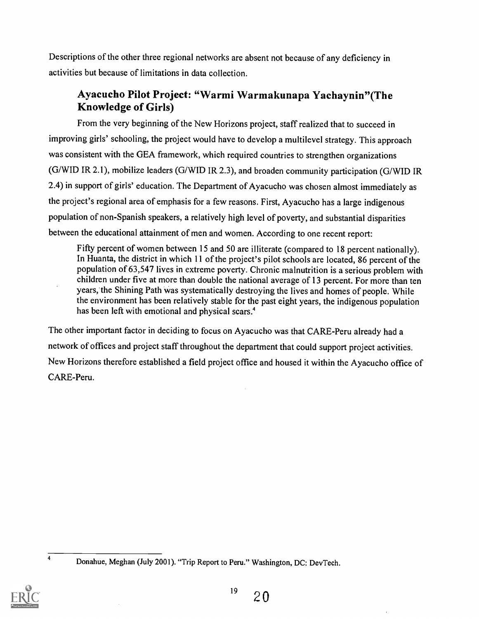Descriptions of the other three regional networks are absent not because of any deficiency in activities but because of limitations in data collection.

# Ayacucho Pilot Project: "Warmi Warmakunapa Yachaynin"(The Knowledge of Girls)

From the very beginning of the New Horizons project, staff realized that to succeed in improving girls' schooling, the project would have to develop a multilevel strategy. This approach was consistent with the GEA framework, which required countries to strengthen organizations (G/WID IR 2.1), mobilize leaders (G/WID IR 2.3), and broaden community participation (G/WID IR 2.4) in support of girls' education. The Department of Ayacucho was chosen almost immediately as the project's regional area of emphasis for a few reasons. First, Ayacucho has a large indigenous population of non-Spanish speakers, a relatively high level of poverty, and substantial disparities between the educational attainment of men and women. According to one recent report:

Fifty percent of women between 15 and 50 are illiterate (compared to 18 percent nationally). In Huanta, the district in which 11 of the project's pilot schools are located, 86 percent of the population of 63,547 lives in extreme poverty. Chronic malnutrition is a serious problem with children under five at more than double the national average of 13 percent. For more than ten years, the Shining Path was systematically destroying the lives and homes of people. While the environment has been relatively stable for the past eight years, the indigenous population has been left with emotional and physical scars.<sup>4</sup>

The other important factor in deciding to focus on Ayacucho was that CARE-Peru already had a network of offices and project staff throughout the department that could support project activities. New Horizons therefore established a field project office and housed it within the Ayacucho office of CARE-Peru.



Donahue, Meghan (July 2001). "Trip Report to Peru." Washington, DC: DevTech.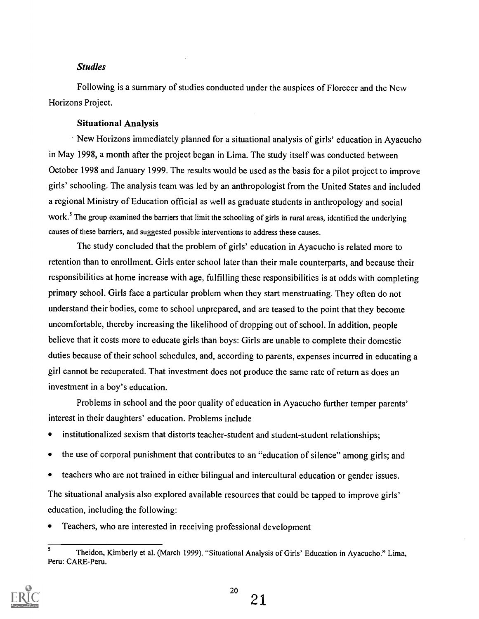#### Studies

Following is a summary of studies conducted under the auspices of Florecer and the New Horizons Project.

#### Situational Analysis

New Horizons immediately planned for a situational analysis of girls' education in Ayacucho in May 1998, a month after the project began in Lima. The study itself was conducted between October 1998 and January 1999. The results would be used as the basis for a pilot project to improve girls' schooling. The analysis team was led by an anthropologist from the United States and included a regional Ministry of Education official as well as graduate students in anthropology and social work.<sup>5</sup> The group examined the barriers that limit the schooling of girls in rural areas, identified the underlying causes of these barriers, and suggested possible interventions to address these causes.

The study concluded that the problem of girls' education in Ayacucho is related more to retention than to enrollment. Girls enter school later than their male counterparts, and because their responsibilities at home increase with age, fulfilling these responsibilities is at odds with completing primary school. Girls face a particular problem when they start menstruating. They often do not understand their bodies, come to school unprepared, and are teased to the point that they become uncomfortable, thereby increasing the likelihood of dropping out of school. In addition, people believe that it costs more to educate girls than boys: Girls are unable to complete their domestic duties because of their school schedules, and, according to parents, expenses incurred in educating a girl cannot be recuperated. That investment does not produce the same rate of return as does an investment in a boy's education.

Problems in school and the poor quality of education in Ayacucho further temper parents' interest in their daughters' education. Problems include

- $\bullet$ institutionalized sexism that distorts teacher-student and student-student relationships;
- the use of corporal punishment that contributes to an "education of silence" among girls; and  $\bullet$
- teachers who are not trained in either bilingual and intercultural education or gender issues.

The situational analysis also explored available resources that could be tapped to improve girls' education, including the following:

 $\bullet$ Teachers, who are interested in receiving professional development

<sup>5</sup> Theidon, Kimberly et al. (March 1999). "Situational Analysis of Girls' Education in Ayacucho." Lima, Peru: CARE-Peru.

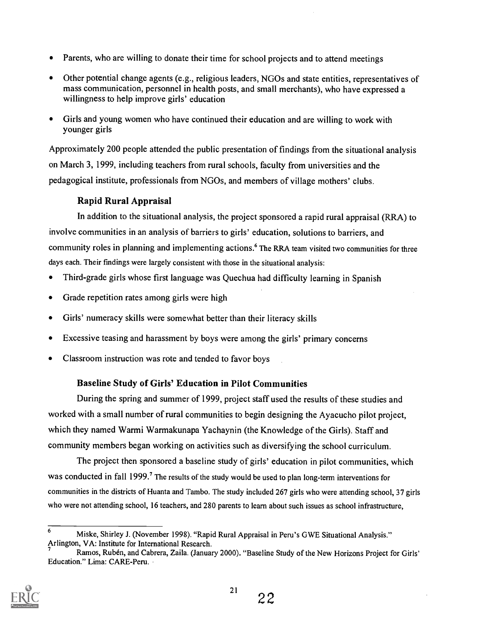- Parents, who are willing to donate their time for school projects and to attend meetings
- Other potential change agents (e.g., religious leaders, NGOs and state entities, representatives of mass communication, personnel in health posts, and small merchants), who have expressed a willingness to help improve girls' education
- Girls and young women who have continued their education and are willing to work with  $\bullet$ younger girls

Approximately 200 people attended the public presentation of findings from the situational analysis on March 3, 1999, including teachers from rural schools, faculty from universities and the pedagogical institute, professionals from NGOs, and members of village mothers' clubs.

# Rapid Rural Appraisal

In addition to the situational analysis, the project sponsored a rapid rural appraisal (RRA) to involve communities in an analysis of barriers to girls' education, solutions to barriers, and community roles in planning and implementing actions.<sup>6</sup> The RRA team visited two communities for three days each. Their findings were largely consistent with those in the situational analysis:

- Third-grade girls whose first language was Quechua had difficulty learning in Spanish
- Grade repetition rates among girls were high
- Girls' numeracy skills were somewhat better than their literacy skills  $\bullet$
- Excessive teasing and harassment by boys were among the girls' primary concerns
- Classroom instruction was rote and tended to favor boys

# Baseline Study of Girls' Education in Pilot Communities

During the spring and summer of 1999, project staff used the results of these studies and worked with a small number of rural communities to begin designing the Ayacucho pilot project, which they named Warmi Warmakunapa Yachaynin (the Knowledge of the Girls). Staff and community members began working on activities such as diversifying the school curriculum.

The project then sponsored a baseline study of girls' education in pilot communities, which was conducted in fall 1999.<sup>7</sup> The results of the study would be used to plan long-term interventions for communities in the districts of Huanta and Tambo. The study included 267 girls who were attending school, 37 girls who were not attending school, 16 teachers, and 280 parents to learn about such issues as school infrastructure,

Ramos, Ruben, and Cabrera, Zaila. (January 2000). "Baseline Study of the New Horizons Project for Girls' Education." Lima: CARE-Peru.



22

<sup>6</sup> Miske, Shirley J. (November 1998). "Rapid Rural Appraisal in Peru's GWE Situational Analysis." Arlington, VA: Institute for International Research.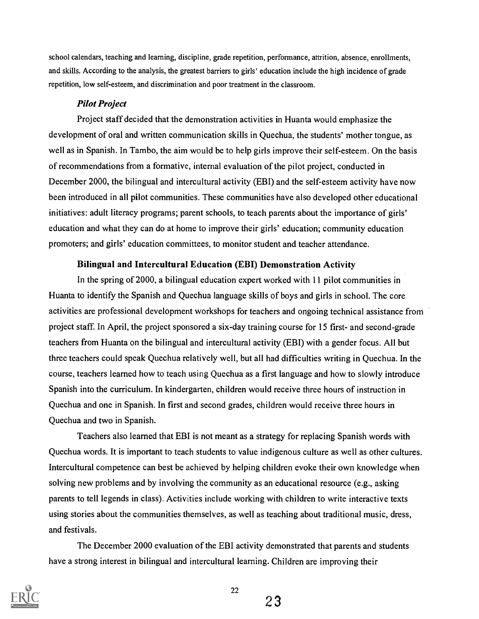school calendars, teaching and learning, discipline, grade repetition, performance, attrition, absence, enrollments, and skills. According to the analysis, the greatest barriers to girls' education include the high incidence of grade repetition, low self-esteem, and discrimination and poor treatment in the classroom.

#### Pilot Project

Project staff decided that the demonstration activities in Huanta would emphasize the development of oral and written communication skills in Quechua, the students' mother tongue, as well as in Spanish. In Tambo, the aim would be to help girls improve their self-esteem. On the basis of recommendations from a formative, internal evaluation of the pilot project, conducted in December 2000, the bilingual and intercultural activity (EBI) and the self-esteem activity have now been introduced in all pilot communities. These communities have also developed other educational initiatives: adult literacy programs; parent schools, to teach parents about the importance of girls' education and what they can do at home to improve their girls' education; community education promoters; and girls' education committees, to monitor student and teacher attendance.

#### Bilingual and Intercultural Education (EBI) Demonstration Activity

In the spring of 2000, a bilingual education expert worked with 11 pilot communities in Huanta to identify the Spanish and Quechua language skills of boys and girls in school. The core activities are professional development workshops for teachers and ongoing technical assistance from project staff. In April, the project sponsored a six-day training course for 15 first- and second-grade teachers from Huanta on the bilingual and intercultural activity (EBI) with a gender focus. All but three teachers could speak Quechua relatively well, but all had difficulties writing in Quechua. In the course, teachers learned how to teach using Quechua as a first language and how to slowly introduce Spanish into the curriculum. In kindergarten, children would receive three hours of instruction in Quechua and one in Spanish. In first and second grades, children would receive three hours in Quechua and two in Spanish.

Teachers also learned that EBI is not meant as a strategy for replacing Spanish words with Quechua words. It is important to teach students to value indigenous culture as well as other cultures. Intercultural competence can best be achieved by helping children evoke their own knowledge when solving new problems and by involving the community as an educational resource (e.g., asking parents to tell legends in class). Activities include working with children to write interactive texts using stories about the communities themselves, as well as teaching about traditional music, dress, and festivals.

The December 2000 evaluation of the EBI activity demonstrated that parents and students have a strong interest in bilingual and intercultural learning. Children are improving their



23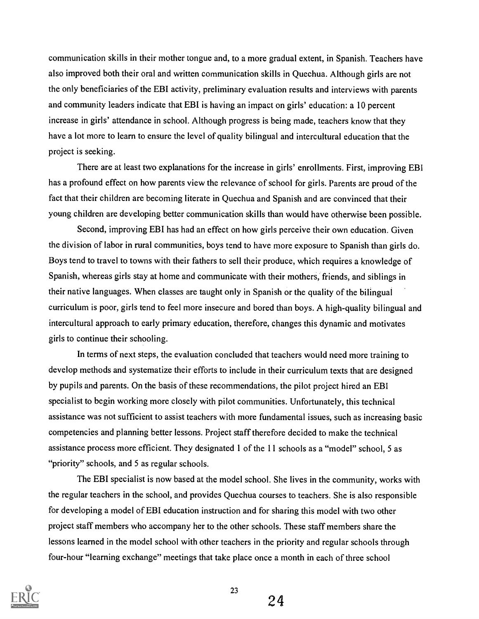communication skills in their mother tongue and, to a more gradual extent, in Spanish. Teachers have also improved both their oral and written communication skills in Quechua. Although girls are not the only beneficiaries of the EBI activity, preliminary evaluation results and interviews with parents and community leaders indicate that EBI is having an impact on girls' education: a 10 percent increase in girls' attendance in school. Although progress is being made, teachers know that they have a lot more to learn to ensure the level of quality bilingual and intercultural education that the project is seeking.

There are at least two explanations for the increase in girls' enrollments. First, improving EBI has a profound effect on how parents view the relevance of school for girls. Parents are proud of the fact that their children are becoming literate in Quechua and Spanish and are convinced that their young children are developing better communication skills than would have otherwise been possible.

Second, improving EBI has had an effect on how girls perceive their own education. Given the division of labor in rural communities, boys tend to have more exposure to Spanish than girls do. Boys tend to travel to towns with their fathers to sell their produce, which requires a knowledge of Spanish, whereas girls stay at home and communicate with their mothers, friends, and siblings in their native languages. When classes are taught only in Spanish or the quality of the bilingual curriculum is poor, girls tend to feel more insecure and bored than boys. A high-quality bilingual and intercultural approach to early primary education, therefore, changes this dynamic and motivates girls to continue their schooling.

In terms of next steps, the evaluation concluded that teachers would need more training to develop methods and systematize their efforts to include in their curriculum texts that are designed by pupils and parents. On the basis of these recommendations, the pilot project hired an EBI specialist to begin working more closely with pilot communities. Unfortunately, this technical assistance was not sufficient to assist teachers with more fundamental issues, such as increasing basic competencies and planning better lessons. Project staff therefore decided to make the technical assistance process more efficient. They designated 1 of the 11 schools as a "model" school, 5 as "priority" schools, and 5 as regular schools.

The EBI specialist is now based at the model school. She lives in the community, works with the regular teachers in the school, and provides Quechua courses to teachers. She is also responsible for developing a model of EBI education instruction and for sharing this model with two other project staff members who accompany her to the other schools. These staff members share the lessons learned in the model school with other teachers in the priority and regular schools through four-hour "learning exchange" meetings that take place once a month in each of three school



24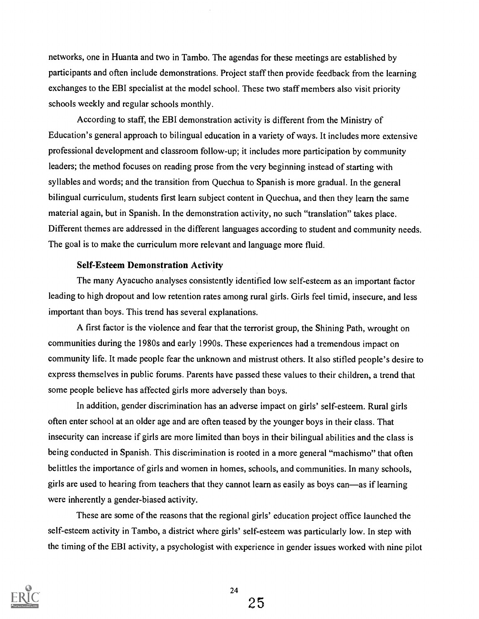networks, one in Huanta and two in Tambo. The agendas for these meetings are established by participants and often include demonstrations. Project staff then provide feedback from the learning exchanges to the EBI specialist at the model school. These two staff members also visit priority schools weekly and regular schools monthly.

According to staff, the EBI demonstration activity is different from the Ministry of Education's general approach to bilingual education in a variety of ways. It includes more extensive professional development and classroom follow-up; it includes more participation by community leaders; the method focuses on reading prose from the very beginning instead of starting with syllables and words; and the transition from Quechua to Spanish is more gradual. In the general bilingual curriculum, students first learn subject content in Quechua, and then they learn the same material again, but in Spanish. In the demonstration activity, no such "translation" takes place. Different themes are addressed in the different languages according to student and community needs. The goal is to make the curriculum more relevant and language more fluid.

#### Self-Esteem Demonstration Activity

The many Ayacucho analyses consistently identified low self-esteem as an important factor leading to high dropout and low retention rates among rural girls. Girls feel timid, insecure, and less important than boys. This trend has several explanations.

A first factor is the violence and fear that the terrorist group, the Shining Path, wrought on communities during the 1980s and early 1990s. These experiences had a tremendous impact on community life. It made people fear the unknown and mistrust others. It also stifled people's desire to express themselves in public forums. Parents have passed these values to their children, a trend that some people believe has affected girls more adversely than boys.

In addition, gender discrimination has an adverse impact on girls' self-esteem. Rural girls often enter school at an older age and are often teased by the younger boys in their class. That insecurity can increase if girls are more limited than boys in their bilingual abilities and the class is being conducted in Spanish. This discrimination is rooted in a more general "machismo" that often belittles the importance of girls and women in homes, schools, and communities. In many schools, girls are used to hearing from teachers that they cannot learn as easily as boys can—as if learning were inherently a gender-biased activity.

These are some of the reasons that the regional girls' education project office launched the self-esteem activity in Tambo, a district where girls' self-esteem was particularly low. In step with the timing of the EBI activity, a psychologist with experience in gender issues worked with nine pilot

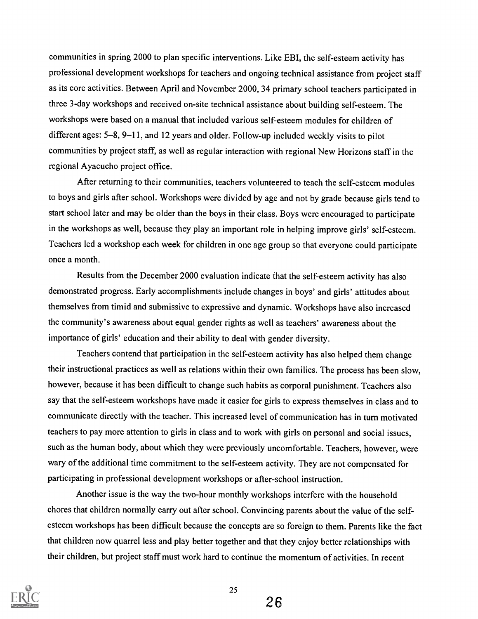communities in spring 2000 to plan specific interventions. Like EBI, the self-esteem activity has professional development workshops for teachers and ongoing technical assistance from project staff as its core activities. Between April and November 2000, 34 primary school teachers participated in three 3-day workshops and received on-site technical assistance about building self-esteem. The workshops were based on a manual that included various self-esteem modules for children of different ages: 5-8, 9-11, and 12 years and older. Follow-up included weekly visits to pilot communities by project staff, as well as regular interaction with regional New Horizons staff in the regional Ayacucho project office.

After returning to their communities, teachers volunteered to teach the self-esteem modules to boys and girls after school. Workshops were divided by age and not by grade because girls tend to start school later and may be older than the boys in their class. Boys were encouraged to participate in the workshops as well, because they play an important role in helping improve girls' self-esteem. Teachers led a workshop each week for children in one age group so that everyone could participate once a month.

Results from the December 2000 evaluation indicate that the self-esteem activity has also demonstrated progress. Early accomplishments include changes in boys' and girls' attitudes about themselves from timid and submissive to expressive and dynamic. Workshops have also increased the community's awareness about equal gender rights as well as teachers' awareness about the importance of girls' education and their ability to deal with gender diversity.

Teachers contend that participation in the self-esteem activity has also helped them change their instructional practices as well as relations within their own families. The process has been slow, however, because it has been difficult to change such habits as corporal punishment. Teachers also say that the self-esteem workshops have made it easier for girls to express themselves in class and to communicate directly with the teacher. This increased level of communication has in turn motivated teachers to pay more attention to girls in class and to work with girls on personal and social issues, such as the human body, about which they were previously uncomfortable. Teachers, however, were wary of the additional time commitment to the self-esteem activity. They are not compensated for participating in professional development workshops or after-school instruction.

Another issue is the way the two-hour monthly workshops interfere with the household chores that children normally carry out after school. Convincing parents about the value of the selfesteem workshops has been difficult because the concepts are so foreign to them. Parents like the fact that children now quarrel less and play better together and that they enjoy better relationships with their children, but project staff must work hard to continue the momentum of activities. In recent



26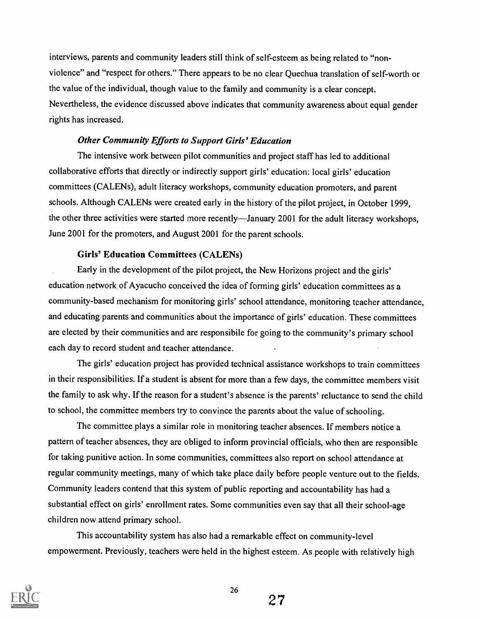interviews, parents and community leaders still think of self-esteem as being related to "nonviolence" and "respect for others." There appears to be no clear Quechua translation of self-worth or the value of the individual, though value to the family and community is a clear concept. Nevertheless, the evidence discussed above indicates that community awareness about equal gender rights has increased.

#### Other Community Efforts to Support Girls' Education

The intensive work between pilot communities and project staff has led to additional collaborative efforts that directly or indirectly support girls' education: local girls' education committees (CALENs), adult literacy workshops, community education promoters, and parent schools. Although CALENs were created early in the history of the pilot project, in October 1999, the other three activities were started more recently—January 2001 for the adult literacy workshops, June 2001 for the promoters, and August 2001 for the parent schools.

### Girls' Education Committees (CALENs)

Early in the development of the pilot project, the New Horizons project and the girls' education network, of Ayacucho conceived the idea of forming girls' education committees as a community-based mechanism for monitoring girls' school attendance, monitoring teacher attendance, and educating parents and communities about the importance of girls' education. These committees are elected by their communities and are responsibile for going to the community's primary school each day to record student and teacher attendance.

The girls' education project has provided technical assistance workshops to train committees in their responsibilities. If a student is absent for more than a few days, the committee members visit the family to ask why. If the reason for a student's absence is the parents' reluctance to send the child to school, the committee members try to convince the parents about the value of schooling.

The committee plays a similar role in monitoring teacher absences. If members notice a pattern of teacher absences, they are obliged to inform provincial officials, who then are responsible for taking punitive action. In some communities, committees also report on school attendance at regular community meetings, many of which take place daily before people venture out to the fields. Community leaders contend that this system of public reporting and accountability has had a substantial effect on girls' enrollment rates. Some communities even say that all their school-age children now attend primary school.

This accountability system has also had a remarkable effect on community-level empowerment. Previously, teachers were held in the highest esteem. As people with relatively high



27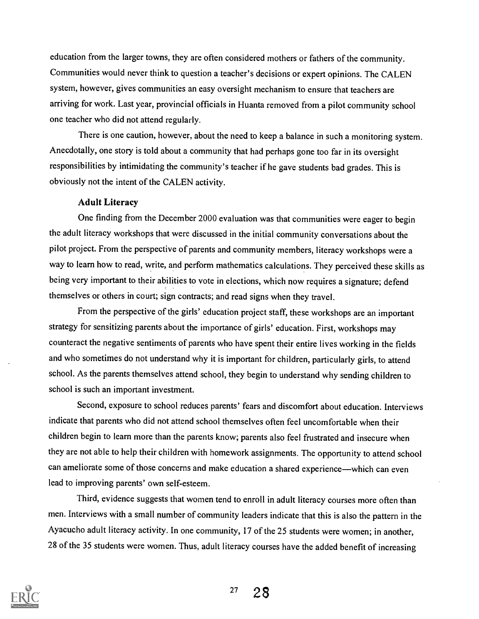education from the larger towns, they are often considered mothers or fathers of the community. Communities would never think to question a teacher's decisions or expert opinions. The CALEN system, however, gives communities an easy oversight mechanism to ensure that teachers are arriving for work. Last year, provincial officials in Huanta removed from a pilot community school one teacher who did not attend regularly.

There is one caution, however, about the need to keep a balance in such a monitoring system. Anecdotally, one story is told about a community that had perhaps gone too far in its oversight responsibilities by intimidating the community's teacher if he gave students bad grades. This is obviously not the intent of the CALEN activity.

#### Adult Literacy

One finding from the December 2000 evaluation was that communities were eager to begin the adult literacy workshops that were discussed in the initial community conversations about the pilot project. From the perspective of parents and community members, literacy workshops were a way to learn how to read, write, and perform mathematics calculations. They perceived these skills as being very important to their abilities to vote in elections, which now requires a signature; defend themselves or others in court; sign contracts; and read signs when they travel.

From the perspective of the girls' education project staff, these workshops are an important strategy for sensitizing parents about the importance of girls' education. First, workshops may counteract the negative sentiments of parents who have spent their entire lives working in the fields and who sometimes do not understand why it is important for children, particularly girls, to attend school. As the parents themselves attend school, they begin to understand why sending children to school is such an important investment.

Second, exposure to school reduces parents' fears and discomfort about education. Interviews indicate that parents who did not attend school themselves often feel uncomfortable when their children begin to learn more than the parents know; parents also feel frustrated and insecure when they are not able to help their children with homework assignments. The opportunity to attend school can ameliorate some of those concerns and make education a shared experience—which can even lead to improving parents' own self-esteem.

Third, evidence suggests that women tend to enroll in adult literacy courses more often than men. Interviews with a small number of community leaders indicate that this is also the pattern in the Ayacucho adult literacy activity. In one community, 17 of the 25 students were women; in another, 28 of the 35 students were women. Thus, adult literacy courses have the added benefit of increasing

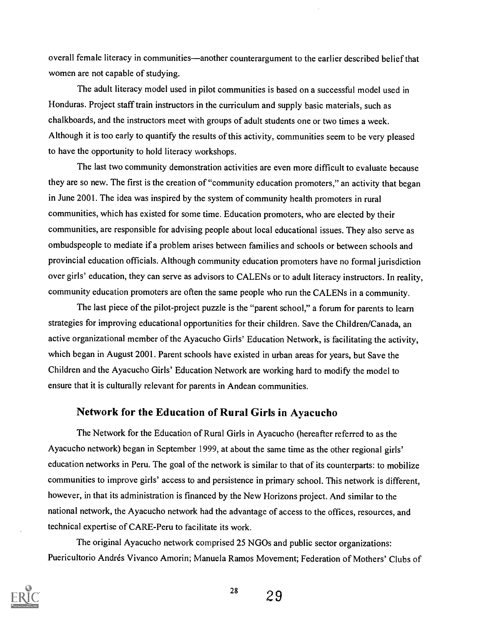overall female literacy in communities—another counterargument to the earlier described belief that women are not capable of studying.

The adult literacy model used in pilot communities is based on a successful model used in Honduras. Project staff train instructors in the curriculum and supply basic materials, such as chalkboards, and the instructors meet with groups of adult students one or two times a week. Although it is too early to quantify the results of this activity, communities seem to be very pleased to have the opportunity to hold literacy workshops.

The last two community demonstration activities are even more difficult to evaluate because they are so new. The first is the creation of "community education promoters," an activity that began in June 2001. The idea was inspired by the system of community health promoters in rural communities, which has existed for some time. Education promoters, who are elected by their communities, are responsible for advising people about local educational issues. They also serve as ombudspeople to mediate if a problem arises between families and schools or between schools and provincial education officials. Although community education promoters have no formal jurisdiction over girls' education, they can serve as advisors to CALENs or to adult literacy instructors. In reality, community education promoters are often the same people who run the CALENs in a community.

The last piece of the pilot-project puzzle is the "parent school," a forum for parents to learn strategies for improving educational opportunities for their children. Save the Children/Canada, an active organizational member of the Ayacucho Girls' Education Network, is facilitating the activity, which began in August 2001. Parent schools have existed in urban areas for years, but Save the Children and the Ayacucho Girls' Education Network are working hard to modify the model to ensure that it is culturally relevant for parents in Andean communities.

### Network for the Education of Rural Girls in Ayacucho

The Network for the Education of Rural Girls in Ayacucho (hereafter referred to as the Ayacucho network) began in September 1999, at about the same time as the other regional girls' education networks in Peru. The goal of the network is similar to that of its counterparts: to mobilize communities to improve girls' access to and persistence in primary school. This network is different, however, in that its administration is financed by the New Horizons project. And similar to the national network, the Ayacucho network had the advantage of access to the offices, resources, and technical expertise of CARE-Peru to facilitate its work.

The original Ayacucho network comprised 25 NGOs and public sector organizations: Puericultorio Andrés Vivanco Amorin; Manuela Ramos Movement; Federation of Mothers' Clubs of



 $^{28}$  29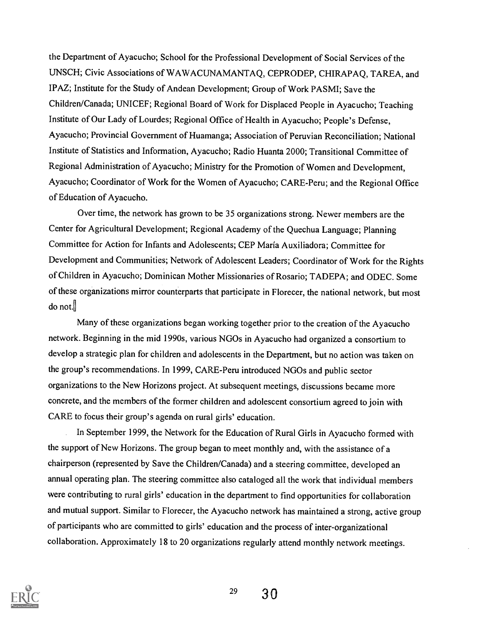the Department of Ayacucho; School for the Professional Development of Social Services of the UNSCH; Civic Associations of WAWACUNAMANTAQ, CEPRODEP, CHIRAPAQ, TAREA, and IPAZ; Institute for the Study of Andean Development; Group of Work PASMI; Save the Children/Canada; UNICEF; Regional Board of Work for Displaced People in Ayacucho; Teaching Institute of Our Lady of Lourdes; Regional Office of Health in Ayacucho; People's Defense, Ayacucho; Provincial Government of Huamanga; Association of Peruvian Reconciliation; National Institute of Statistics and Information, Ayacucho; Radio Huanta 2000; Transitional Committee of Regional Administration of Ayacucho; Ministry for the Promotion of Women and Development, Ayacucho; Coordinator of Work for the Women of Ayacucho; CARE-Peru; and the Regional Office of Education of Ayacucho.

Over time, the network has grown to be 35 organizations strong. Newer members are the Center for Agricultural Development; Regional Academy of the Quechua Language; Planning Committee for Action for Infants and Adolescents; CEP Maria Auxiliadora; Committee for Development and Communities; Network of Adolescent Leaders; Coordinator of Work for the Rights of Children in Ayacucho; Dominican Mother Missionaries of Rosario; TADEPA; and ODEC. Some of these organizations mirror counterparts that participate in Florecer, the national network, but most  $\phi$  not.

Many of these organizations began working together prior to the creation of the Ayacucho network. Beginning in the mid 1990s, various NGOs in Ayacucho had organized a consortium to develop a strategic plan for children and adolescents in the Department, but no action was taken on the group's recommendations. In 1999, CARE-Peru introduced NGOs and public sector organizations to the New Horizons project. At subsequent meetings, discussions became more concrete, and the members of the former children and adolescent consortium agreed to join with CARE to focus their group's agenda on rural girls' education.

In September 1999, the Network for the Education of Rural Girls in Ayacucho formed with the support of New Horizons. The group began to meet monthly and, with the assistance of a chairperson (represented by Save the Children/Canada) and a steering committee, developed an annual operating plan. The steering committee also cataloged all the work that individual members were contributing to rural girls' education in the department to find opportunities for collaboration and mutual support. Similar to Florecer, the Ayacucho network has maintained a strong, active group of participants who are committed to girls' education and the process of inter-organizational collaboration. Approximately 18 to 20 organizations regularly attend monthly network meetings.

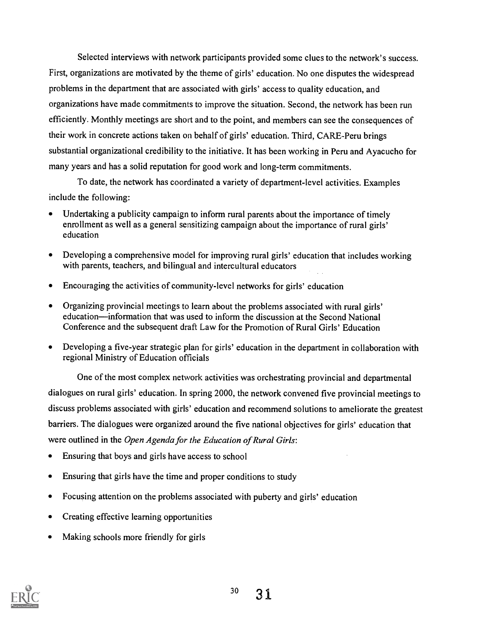Selected interviews with network participants provided some clues to the network's success. First, organizations are motivated by the theme of girls' education. No one disputes the widespread problems in the department that are associated with girls' access to quality education, and organizations have made commitments to improve the situation. Second, the network has been run efficiently. Monthly meetings are short and to the point, and members can see the consequences of their work in concrete actions taken on behalf of girls' education. Third, CARE-Peru brings substantial organizational credibility to the initiative. It has been working in Peru and Ayacucho for many years and has a solid reputation for good work and long-term commitments.

To date, the network has coordinated a variety of department-level activities. Examples include the following:

- Undertaking a publicity campaign to inform rural parents about the importance of timely enrollment as well as a general sensitizing campaign about the importance of rural girls' education
- Developing a comprehensive model for improving rural girls' education that includes working  $\bullet$ with parents, teachers, and bilingual and intercultural educators
- Encouraging the activities of community-level networks for girls' education  $\bullet$
- Organizing provincial meetings to learn about the problems associated with rural girls' education—information that was used to inform the discussion at the Second National Conference and the subsequent draft Law for the Promotion of Rural Girls' Education
- Developing a five-year strategic plan for girls' education in the department in collaboration with  $\bullet$ regional Ministry of Education officials

One of the most complex network activities was orchestrating provincial and departmental dialogues on rural girls' education. In spring 2000, the network convened five provincial meetings to discuss problems associated with girls' education and recommend solutions to ameliorate the greatest barriers. The dialogues were organized around the five national objectives for girls' education that were outlined in the Open Agenda for the Education of Rural Girls:

- Ensuring that boys and girls have access to school  $\bullet$
- Ensuring that girls have the time and proper conditions to study  $\bullet$
- Focusing attention on the problems associated with puberty and girls' education  $\bullet$
- Creating effective learning opportunities  $\bullet$
- Making schools more friendly for girls

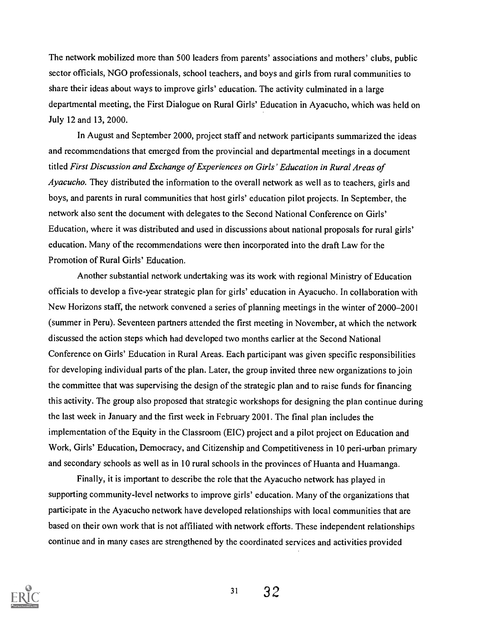The network mobilized more than 500 leaders from parents' associations and mothers' clubs, public sector officials, NGO professionals, school teachers, and boys and girls from rural communities to share their ideas about ways to improve girls' education. The activity culminated in a large departmental meeting, the First Dialogue on Rural Girls' Education in Ayacucho, which was held on July 12 and 13, 2000.

In August and September 2000, project staff and network participants summarized the ideas and recommendations that emerged from the provincial and departmental meetings in a document titled First Discussion and Exchange of Experiences on Girls' Education in Rural Areas of Ayacucho. They distributed the information to the overall network as well as to teachers, girls and boys, and parents in rural communities that host girls' education pilot projects. In September, the network also sent the document with delegates to the Second National Conference on Girls' Education, where it was distributed and used in discussions about national proposals for rural girls' education. Many of the recommendations were then incorporated into the draft Law for the Promotion of Rural Girls' Education.

Another substantial network undertaking was its work with regional Ministry of Education officials to develop a five-year strategic plan for girls' education in Ayacucho. In collaboration with New Horizons staff, the network convened a series of planning meetings in the winter of 2000-2001 (summer in Peru). Seventeen partners attended the first meeting in November, at which the network discussed the action steps which had developed two months earlier at the Second National Conference on Girls' Education in Rural Areas. Each participant was given specific responsibilities for developing individual parts of the plan. Later, the group invited three new organizations to join the committee that was supervising the design of the strategic plan and to raise funds for financing this activity. The group also proposed that strategic workshops for designing the plan continue during the last week in January and the first week in February 2001. The final plan includes the implementation of the Equity in the Classroom (EIC) project and a pilot project on Education and Work, Girls' Education, Democracy, and Citizenship and Competitiveness in 10 peri-urban primary and secondary schools as well as in 10 rural schools in the provinces of Huanta and Huamanga.

Finally, it is important to describe the role that the Ayacucho network has played in supporting community-level networks to improve girls' education. Many of the organizations that participate in the Ayacucho network have developed relationships with local communities that are based on their own work that is not affiliated with network efforts. These independent relationships continue and in many cases are strengthened by the coordinated services and activities provided

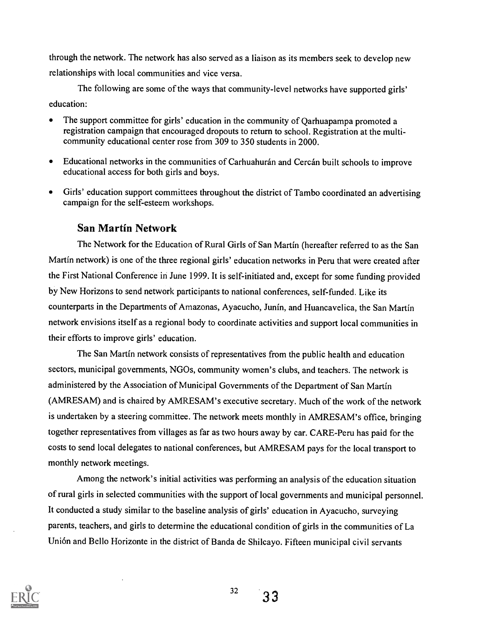through the network. The network has also served as a liaison as its members seek to develop new relationships with local communities and vice versa.

The following are some of the ways that community-level networks have supported girls' education:

- The support committee for girls' education in the community of Qarhuapampa promoted a registration campaign that encouraged dropouts to return to school. Registration at the multicommunity educational center rose from 309 to 350 students in 2000.
- Educational networks in the communities of Carhuahurán and Cercán built schools to improve educational access for both girls and boys.
- Girls' education support committees throughout the district of Tambo coordinated an advertising  $\bullet$ campaign for the self-esteem workshops.

# San Martin Network

The Network for the Education of Rural Girls of San Martin (hereafter referred to as the San Martin network) is one of the three regional girls' education networks in Peru that were created after the First National Conference in June 1999. It is self-initiated and, except for some funding provided by New Horizons to send network participants to national conferences, self-funded. Like its counterparts in the Departments of Amazonas, Ayacucho, Junin, and Huancavelica, the San Martin network envisions itself as a regional body to coordinate activities and support local communities in their efforts to improve girls' education.

The San Martin network consists of representatives from the public health and education sectors, municipal governments, NGOs, community women's clubs, and teachers. The network is administered by the Association of Municipal Governments of the Department of San Martin (AMRESAM) and is chaired by AMRESAM's executive secretary. Much of the work of the network is undertaken by a steering committee. The network meets monthly in AMRESAM's office, bringing together representatives from villages as far as two hours away by car. CARE-Peru has paid for the costs to send local delegates to national conferences, but AMRESAM pays for the local transport to monthly network meetings.

Among the network's initial activities was performing an analysis of the education situation of rural girls in selected communities with the support of local governments and municipal personnel. It conducted a study similar to the baseline analysis of girls' education in Ayacucho, surveying parents, teachers, and girls to determine the educational condition of girls in the communities of La Union and Bello Horizonte in the district of Banda de Shilcayo. Fifteen municipal civil servants



32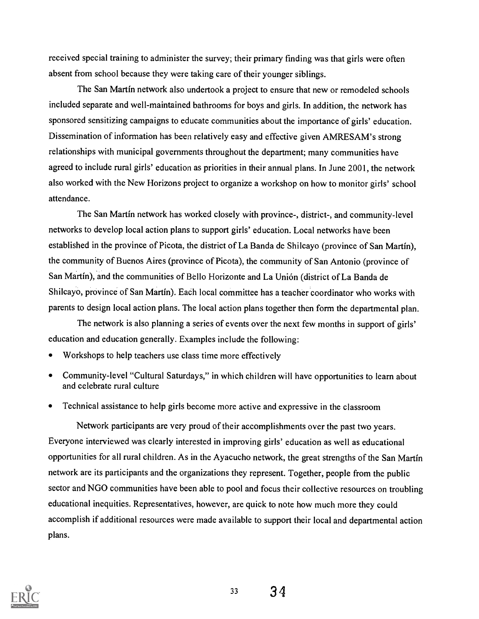received special training to administer the survey; their primary finding was that girls were often absent from school because they were taking care of their younger siblings.

The San Martin network also undertook a project to ensure that new or remodeled schools included separate and well-maintained bathrooms for boys and girls. In addition, the network has sponsored sensitizing campaigns to educate communities about the importance of girls' education. Dissemination of information has been relatively easy and effective given AMRESAM's strong relationships with municipal governments throughout the department; many communities have agreed to include rural girls' education as priorities in their annual plans. In June 2001, the network also worked with the New Horizons project to organize a workshop on how to monitor girls' school attendance.

The San Martin network has worked closely with province-, district-, and community-level networks to develop local action plans to support girls' education. Local networks have been established in the province of Picota, the district of La Banda de Shilcayo (province of San Martin), the community of Buenos Aires (province of Picota), the community of San Antonio (province of San Martin), and the communities of Bello Horizonte and La Union (district of La Banda de Shilcayo, province of San Martin). Each local committee has a teacher coordinator who works with parents to design local action plans. The local action plans together then form the departmental plan.

The network is also planning a series of events over the next few months in support of girls' education and education generally. Examples include the following:

- Workshops to help teachers use class time more effectively
- Community-level "Cultural Saturdays," in which children will have opportunities to learn about  $\bullet$ and celebrate rural culture
- Technical assistance to help girls become more active and expressive in the classroom  $\bullet$

Network participants are very proud of their accomplishments over the past two years. Everyone interviewed was clearly interested in improving girls' education as well as educational opportunities for all rural children. As in the Ayacucho network, the great strengths of the San Martin network are its participants and the organizations they represent. Together, people from the public sector and NGO communities have been able to pool and focus their collective resources on troubling educational inequities. Representatives, however, are quick to note how much more they could accomplish if additional resources were made available to support their local and departmental action plans.



 $33 \quad 34$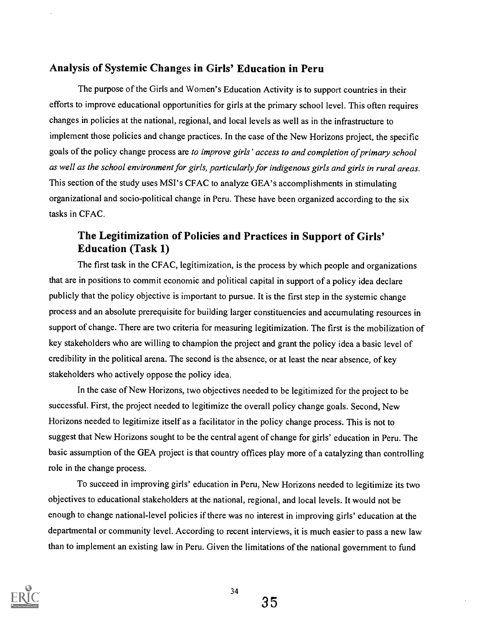# Analysis of Systemic Changes in Girls' Education in Peru

The purpose of the Girls and Women's Education Activity is to support countries in their efforts to improve educational opportunities for girls at the primary school level. This often requires changes in policies at the national, regional, and local levels as well as in the infrastructure to implement those policies and change practices. In the case of the New Horizons project, the specific goals of the policy change process are to improve girls' access to and completion of primary school as well as the school environment for girls, particularly for indigenous girls and girls in rural areas. This section of the study uses MSI's CFAC to analyze GEA's accomplishments in stimulating organizational and socio-political change in Peru. These have been organized according to the six tasks in CFAC.

# The Legitimization of Policies and Practices in Support of Girls' Education (Task 1)

The first task in the CFAC, legitimization, is the process by which people and organizations that are in positions to commit economic and political capital in support of a policy idea declare publicly that the policy objective is important to pursue. It is the first step in the systemic change process and an absolute prerequisite for building larger constituencies and accumulating resources in support of change. There are two criteria for measuring legitimization. The first is the mobilization of key stakeholders who are willing to champion the project and grant the policy idea a basic level of credibility in the political arena. The second is the absence, or at least the near absence, of key stakeholders who actively oppose the policy idea.

In the case of New Horizons, two objectives needed to be legitimized for the project to be successful. First, the project needed to legitimize the overall policy change goals. Second, New Horizons needed to legitimize itself as a facilitator in the policy change process. This is not to suggest that New Horizons sought to be the central agent of change for girls' education in Peru. The basic assumption of the GEA project is that country offices play more of a catalyzing than controlling role in the change process.

To succeed in improving girls' education in Peru, New Horizons needed to legitimize its two objectives to educational stakeholders at the national, regional, and local levels. It would not be enough to change national-level policies if there was no interest in improving girls' education at the departmental or community level. According to recent interviews, it is much easier to pass a new law than to implement an existing law in Peru. Given the limitations of the national government to fund

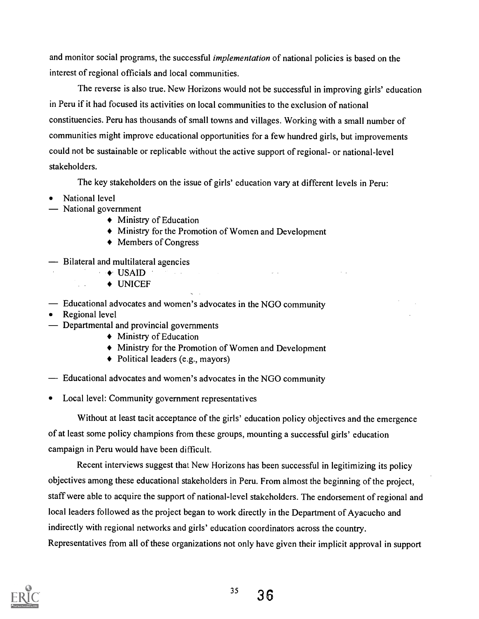and monitor social programs, the successful *implementation* of national policies is based on the interest of regional officials and local communities.

The reverse is also true. New Horizons would not be successful in improving girls' education in Peru if it had focused its activities on local communities to the exclusion of national constituencies. Peru has thousands of small towns and villages. Working with a small number of communities might improve educational opportunities for a few hundred girls, but improvements could not be sustainable or replicable without the active support of regional- or national-level stakeholders.

The key stakeholders on the issue of girls' education vary at different levels in Peru:

 $\sim$   $\sim$ 

- National level
- National government
	- Ministry of Education
	- Ministry for the Promotion of Women and Development
	- ◆ Members of Congress
- $\overline{\phantom{a}}$  Bilateral and multilateral agencies
	- $\rightarrow$  USAID  $\rightarrow$  2014
		- UNICEF
- Educational advocates and women's advocates in the NGO community
- Regional level

 $\mathcal{L}$ 

- Departmental and provincial governments
	- Ministry of Education
	- Ministry for the Promotion of Women and Development
	- Political leaders (e.g., mayors)
- Educational advocates and women's advocates in the NGO community
- Local level: Community government representatives

Without at least tacit acceptance of the girls' education policy objectives and the emergence of at least some policy champions from these groups, mounting a successful girls' education campaign in Peru would have been difficult.

Recent interviews suggest that New Horizons has been successful in legitimizing its policy objectives among these educational stakeholders in Peru. From almost the beginning of the project, staff were able to acquire the support of national-level stakeholders. The endorsement of regional and local leaders followed as the project began to work directly in the Department of Ayacucho and indirectly with regional networks and girls' education coordinators across the country. Representatives from all of these organizations not only have given their implicit approval in support

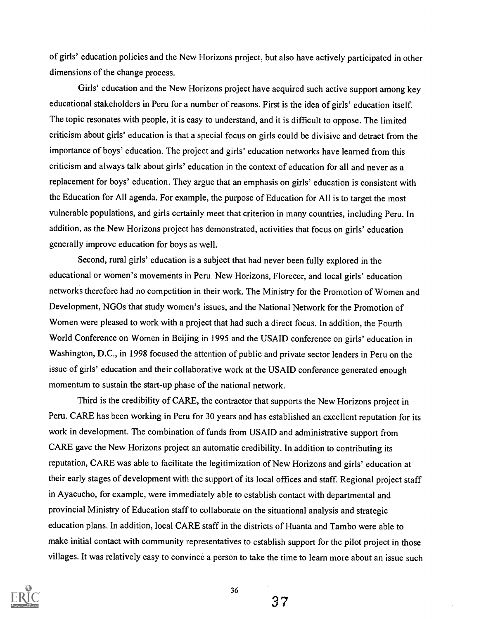of girls' education policies and the New Horizons project, but also have actively participated in other dimensions of the change process.

Girls' education and the New Horizons project have acquired such active support among key educational stakeholders in Peru for a number of reasons. First is the idea of girls' education itself. The topic resonates with people, it is easy to understand, and it is difficult to oppose. The limited criticism about girls' education is that a special focus on girls could be divisive and detract from the importance of boys' education. The project and girls' education networks have learned from this criticism and always talk about girls' education in the context of education for all and never as a replacement for boys' education. They argue that an emphasis on girls' education is consistent with the Education for All agenda. For example, the purpose of Education for All is to target the most vulnerable populations, and girls certainly meet that criterion in many countries, including Peru. In addition, as the New Horizons project has demonstrated, activities that focus on girls' education generally improve education for boys as well.

Second, rural girls' education is a subject that had never been fully explored in the educational or women's movements in Peru. New Horizons, Florecer, and local girls' education networks therefore had no competition in their work. The Ministry for the Promotion of Women and Development, NGOs that study women's issues, and the National Network for the Promotion of Women were pleased to work with a project that had such a direct focus. In addition, the Fourth World Conference on Women in Beijing in 1995 and the USAID conference on girls' education in Washington, D.C., in 1998 focused the attention of public and private sector leaders in Peru on the issue of girls' education and their collaborative work at the USAID conference generated enough momentum to sustain the start-up phase of the national network.

Third is the credibility of CARE, the contractor that supports the New Horizons project in Peru. CARE has been working in Peru for 30 years and has established an excellent reputation for its work in development. The combination of funds from USAID and administrative support from CARE gave the New Horizons project an automatic credibility. In addition to contributing its reputation, CARE was able to facilitate the legitimization of New Horizons and girls' education at their early stages of development with the support of its local offices and staff. Regional project staff in Ayacucho, for example, were immediately able to establish contact with departmental and provincial Ministry of Education staff to collaborate on the situational analysis and strategic education plans. In addition, local CARE staff in the districts of Huanta and Tambo were able to make initial contact with community representatives to establish support for the pilot project in those villages. It was relatively easy to convince a person to take the time to learn more about an issue such



37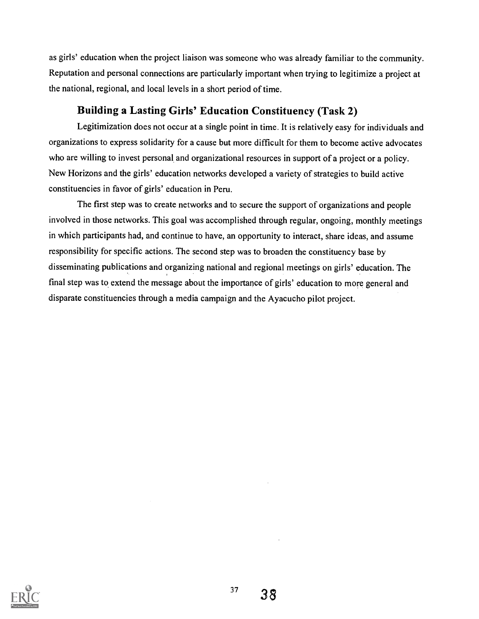as girls' education when the project liaison was someone who was already familiar to the community. Reputation and personal connections are particularly important when trying to legitimize a project at the national, regional, and local levels in a short period of time.

# Building a Lasting Girls' Education Constituency (Task 2)

Legitimization does not occur at a single point in time. It is relatively easy for individuals and organizations to express solidarity for a cause but more difficult for them to become active advocates who are willing to invest personal and organizational resources in support of a project or a policy. New Horizons and the girls' education networks developed a variety of strategies to build active constituencies in favor of girls' education in Peru.

The first step was to create networks and to secure the support of organizations and people involved in those networks. This goal was accomplished through regular, ongoing, monthly meetings in which participants had, and continue to have, an opportunity to interact, share ideas, and assume responsibility for specific actions. The second step was to broaden the constituency base by disseminating publications and organizing national and regional meetings on girls' education. The final step was to extend the message about the importance of girls' education to more general and disparate constituencies through a media campaign and the Ayacucho pilot project.

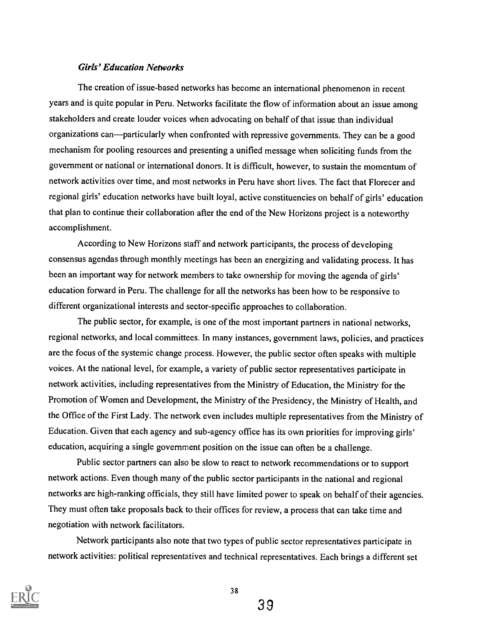#### Girls' Education Networks

The creation of issue-based networks has become an international phenomenon in recent years and is quite popular in Peru. Networks facilitate the flow of information about an issue among stakeholders and create louder voices when advocating on behalf of that issue than individual organizations can—particularly when confronted with repressive governments. They can be a good mechanism for pooling resources and presenting a unified message when soliciting funds from the government or national or international donors. It is difficult, however, to sustain the momentum of network activities over time, and most networks in Peru have short lives. The fact that Florecer and regional girls' education networks have built loyal, active constituencies on behalf of girls' education that plan to continue their collaboration after the end of the New Horizons project is a noteworthy accomplishment.

According to New Horizons staff and network participants, the process of developing consensus agendas through monthly meetings has been an energizing and validating process. It has been an important way for network members to take ownership for moving the agenda of girls' education forward in Peru. The challenge for all the networks has been how to be responsive to different organizational interests and sector-specific approaches to collaboration.

The public sector, for example, is one of the most important partners in national networks, regional networks, and local committees. In many instances, government laws, policies, and practices are the focus of the systemic change process. However, the public sector often speaks with multiple voices. At the national level, for example, a variety of public sector representatives participate in network activities, including representatives from the Ministry of Education, the Ministry for the Promotion of Women and Development, the Ministry of the Presidency, the Ministry of Health, and the Office of the First Lady. The network even includes multiple representatives from the Ministry of Education. Given that each agency and sub-agency office has its own priorities for improving girls' education, acquiring a single government position on the issue can often be a challenge.

Public sector partners can also be slow to react to network recommendations or to support network actions. Even though many of the public sector participants in the national and regional networks are high-ranking officials, they still have limited power to speak on behalf of their agencies. They must often take proposals back to their offices for review, a process that can take time and negotiation with network facilitators.

Network participants also note that two types of public sector representatives participate in network activities: political representatives and technical representatives. Each brings a different set

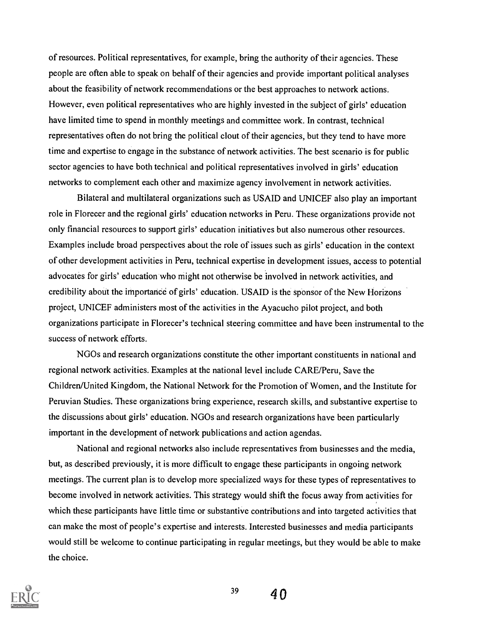of resources. Political representatives, for example, bring the authority of their agencies. These people are often able to speak on behalf of their agencies and provide important political analyses about the feasibility of network recommendations or the best approaches to network actions. However, even political representatives who are highly invested in the subject of girls' education have limited time to spend in monthly meetings and committee work. In contrast, technical representatives often do not bring the political clout of their agencies, but they tend to have more time and expertise to engage in the substance of network activities. The best scenario is for public sector agencies to have both technical and political representatives involved in girls' education networks to complement each other and maximize agency involvement in network activities.

Bilateral and multilateral organizations such as USAID and UNICEF also play an important role in Florecer and the regional girls' education networks in Peru. These organizations provide not only financial resources to support girls' education initiatives but also numerous other resources. Examples include broad perspectives about the role of issues such as girls' education in the context of other development activities in Peru, technical expertise in development issues, access to potential advocates for girls' education who might not otherwise be involved in network activities, and credibility about the importance of girls' education. USAID is the sponsor of the New Horizons project, UNICEF administers most of the activities in the Ayacucho pilot project, and both organizations participate in Florecer's technical steering committee and have been instrumental to the success of network efforts.

NGOs and research organizations constitute the other important constituents in national and regional network activities. Examples at the national level include CARE/Peru, Save the Children/United Kingdom, the National Network for the Promotion of Women, and the Institute for Peruvian Studies. These organizations bring experience, research skills, and substantive expertise to the discussions about girls' education. NGOs and research organizations have been particularly important in the development of network publications and action agendas.

National and regional networks also include representatives from businesses and the media, but, as described previously, it is more difficult to engage these participants in ongoing network meetings. The current plan is to develop more specialized ways for these types of representatives to become involved in network activities. This strategy would shift the focus away from activities for which these participants have little time or substantive contributions and into targeted activities that can make the most of people's expertise and interests. Interested businesses and media participants would still be welcome to continue participating in regular meetings, but they would be able to make the choice.



 $39 \t 40$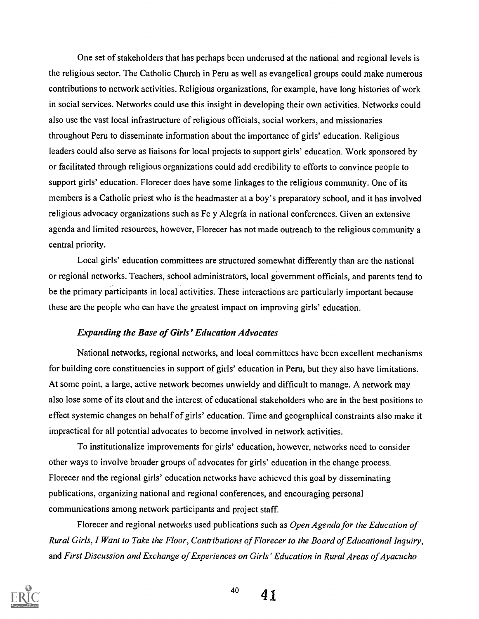One set of stakeholders that has perhaps been underused at the national and regional levels is the religious sector. The Catholic Church in Peru as well as evangelical groups could make numerous contributions to network activities. Religious organizations, for example, have long histories of work in social services. Networks could use this insight in developing their own activities. Networks could also use the vast local infrastructure of religious officials, social workers, and missionaries throughout Peru to disseminate information about the importance of girls' education. Religious leaders could also serve as liaisons for local projects to support girls' education. Work sponsored by or facilitated through religious organizations could add credibility to efforts to convince people to support girls' education. Florecer does have some linkages to the religious community. One of its members is a Catholic priest who is the headmaster at a boy's preparatory school, and it has involved religious advocacy organizations such as Fe y Alegria in national conferences. Given an extensive agenda and limited resources, however, Florecer has not made outreach to the religious community a central priority.

Local girls' education committees are structured somewhat differently than are the national or regional networks. Teachers, school administrators, local government officials, and parents tend to be the primary participants in local activities. These interactions are particularly important because these are the people who can have the greatest impact on improving girls' education.

#### Expanding the Base of Girls' Education Advocates

National networks, regional networks, and local committees have been excellent mechanisms for building core constituencies in support of girls' education in Peru, but they also have limitations. At some point, a large, active network becomes unwieldy and difficult to manage. A network may also lose some of its clout and the interest of educational stakeholders who are in the best positions to effect systemic changes on behalf of girls' education. Time and geographical constraints also make it impractical for all potential advocates to become involved in network activities.

To institutionalize improvements for girls' education, however, networks need to consider other ways to involve broader groups of advocates for girls' education in the change process. Florecer and the regional girls' education networks have achieved this goal by disseminating publications, organizing national and regional conferences, and encouraging personal communications among network participants and project staff.

Florecer and regional networks used publications such as *Open Agenda for the Education of* Rural Girls, I Want to Take the Floor, Contributions of Florecer to the Board of Educational Inquiry, and First Discussion and Exchange of Experiences on Girls' Education in Rural Areas of Ayacucho



 $^{40}$  41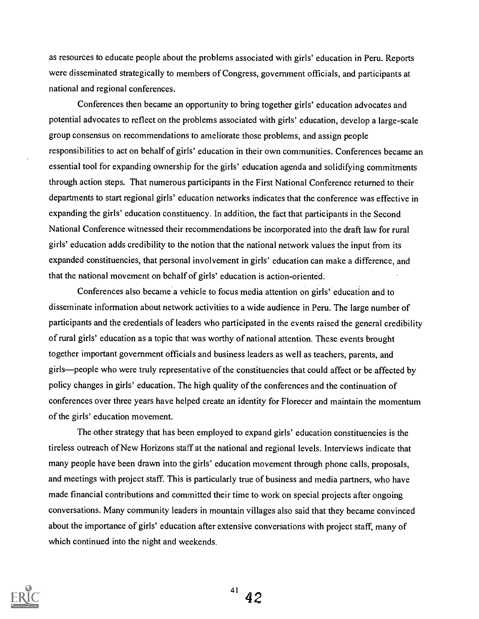as resources to educate people about the problems associated with girls' education in Peru. Reports were disseminated strategically to members of Congress, government officials, and participants at national and regional conferences.

Conferences then became an opportunity to bring together girls' education advocates and potential advocates to reflect on the problems associated with girls' education, develop a large-scale group consensus on recommendations to ameliorate those problems, and assign people responsibilities to act on behalf of girls' education in their own communities. Conferences became an essential tool for expanding ownership for the girls' education agenda and solidifying commitments through action steps. That numerous participants in the First National Conference returned to their departments to start regional girls' education networks indicates that the conference was effective in expanding the girls' education constituency. In addition, the fact that participants in the Second National Conference witnessed their recommendations be incorporated into the draft law for rural girls' education adds credibility to the notion that the national network values the input from its expanded constituencies, that personal involvement in girls' education can make a difference, and that the national movement on behalf of girls' education is action-oriented.

Conferences also became a vehicle to focus media attention on girls' education and to disseminate information about network activities to a wide audience in Peru. The large number of participants and the credentials of leaders who participated in the events raised the general credibility of rural girls' education as a topic that was worthy of national attention. These events brought together important government officials and business leaders as well as teachers, parents, and girls—people who were truly representative of the constituencies that could affect or be affected by policy changes in girls' education. The high quality of the conferences and the continuation of conferences over three years have helped create an identity for Florecer and maintain the momentum of the girls' education movement.

The other strategy that has been employed to expand girls' education constituencies is the tireless outreach of New Horizons staff at the national and regional levels. Interviews indicate that many people have been drawn into the girls' education movement through phone calls, proposals, and meetings with project staff. This is particularly true of business and media partners, who have made financial contributions and committed their time to work on special projects after ongoing conversations. Many community leaders in mountain villages also said that they became convinced about the importance of girls' education after extensive conversations with project staff, many of which continued into the night and weekends.

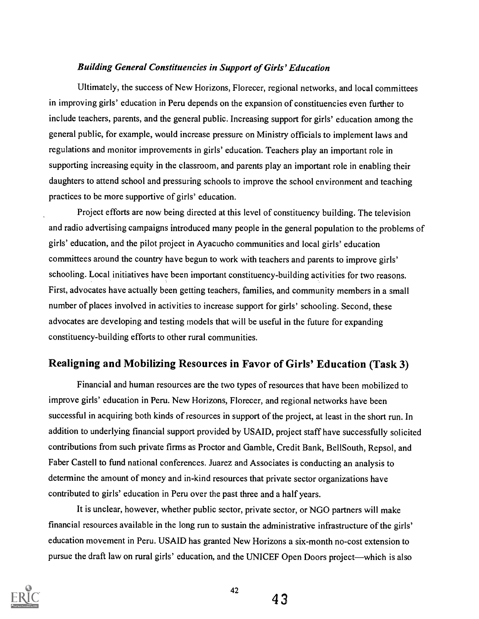### Building General Constituencies in Support of Girls' Education

Ultimately, the success of New Horizons, Florecer, regional networks, and local committees in improving girls' education in Peru depends on the expansion of constituencies even further to include teachers, parents, and the general public. Increasing support for girls' education among the general public, for example, would increase pressure on Ministry officials to implement laws and regulations and monitor improvements in girls' education. Teachers play an important role in supporting increasing equity in the classroom, and parents play an important role in enabling their daughters to attend school and pressuring schools to improve the school environment and teaching practices to be more supportive of girls' education.

Project efforts are now being directed at this level of constituency building. The television and radio advertising campaigns introduced many people in the general population to the problems of girls' education, and the pilot project in Ayacucho communities and local girls' education committees around the country have begun to work with teachers and parents to improve girls' schooling. Local initiatives have been important constituency-building activities for two reasons. First, advocates have actually been getting teachers, families, and community members in a small number of places involved in activities to increase support for girls' schooling. Second, these advocates are developing and testing models that will be useful in the future for expanding constituency-building efforts to other rural communities.

## Realigning and Mobilizing Resources in Favor of Girls' Education (Task 3)

Financial and human resources are the two types of resources that have been mobilized to improve girls' education in Peru. New Horizons, Florecer, and regional networks have been successful in acquiring both kinds of resources in support of the project, at least in the short run. In addition to underlying financial support provided by USAID, project staff have successfully solicited contributions from such private firms as Proctor and Gamble, Credit Bank, BellSouth, Repsol, and Faber Castell to fund national conferences. Juarez and Associates is conducting an analysis to determine the amount of money and in-kind resources that private sector organizations have contributed to girls' education in Peru over the past three and a half years.

It is unclear, however, whether public sector, private sector, or NGO partners will make financial resources available in the long run to sustain the administrative infrastructure of the girls' education movement in Peru. USAID has granted New Horizons a six-month no-cost extension to pursue the draft law on rural girls' education, and the UNICEF Open Doors project—which is also



43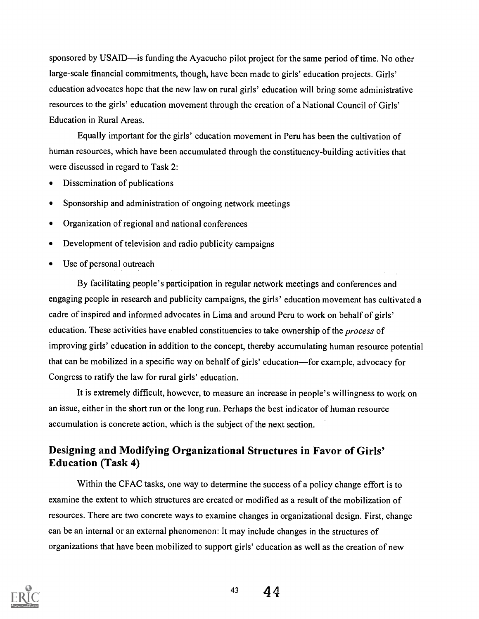sponsored by USAID—is funding the Ayacucho pilot project for the same period of time. No other large-scale financial commitments, though, have been made to girls' education projects. Girls' education advocates hope that the new law on rural girls' education will bring some administrative resources to the girls' education movement through the creation of a National Council of Girls' Education in Rural Areas.

Equally important for the girls' education movement in Peru has been the cultivation of human resources, which have been accumulated through the constituency-building activities that were discussed in regard to Task 2:

- Dissemination of publications
- Sponsorship and administration of ongoing network meetings
- Organization of regional and national conferences
- Development of television and radio publicity campaigns
- Use of personal outreach

By facilitating people's participation in regular network meetings and conferences and engaging people in research and publicity campaigns, the girls' education movement has cultivated a cadre of inspired and informed advocates in Lima and around Peru to work on behalf of girls' education. These activities have enabled constituencies to take ownership of the process of improving girls' education in addition to the concept, thereby accumulating human resource potential that can be mobilized in a specific way on behalf of girls' education—for example, advocacy for Congress to ratify the law for rural girls' education.

It is extremely difficult, however, to measure an increase in people's willingness to work on an issue, either in the short run or the long run. Perhaps the best indicator of human resource accumulation is concrete action, which is the subject of the next section.

# Designing and Modifying Organizational Structures in Favor of Girls' Education (Task 4)

Within the CFAC tasks, one way to determine the success of a policy change effort is to examine the extent to which structures are created or modified as a result of the mobilization of resources. There are two concrete ways to examine changes in organizational design. First, change can be an internal or an external phenomenon: It may include changes in the structures of organizations that have been mobilized to support girls' education as well as the creation of new

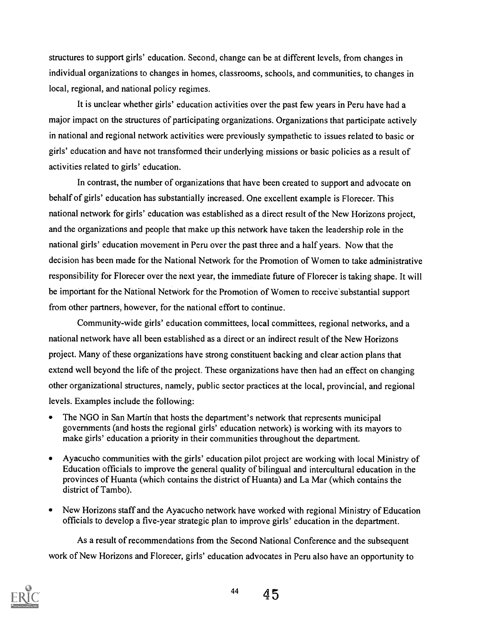structures to support girls' education. Second, change can be at different levels, from changes in individual organizations to changes in homes, classrooms, schools, and communities, to changes in local, regional, and national policy regimes.

It is unclear whether girls' education activities over the past few years in Peru have had a major impact on the structures of participating organizations. Organizations that participate actively in national and regional network activities were previously sympathetic to issues related to basic or girls' education and have not transformed their underlying missions or basic policies as a result of activities related to girls' education.

In contrast, the number of organizations that have been created to support and advocate on behalf of girls' education has substantially increased. One excellent example is Florecer. This national network for girls' education was established as a direct result of the New Horizons project, and the organizations and people that make up this network have taken the leadership role in the national girls' education movement in Peru over the past three and a half years. Now that the decision has been made for the National Network for the Promotion of Women to take administrative responsibility for Florecer over the next year, the immediate future of Florecer is taking shape. It will be important for the National Network for the Promotion of Women to receive substantial support from other partners, however, for the national effort to continue.

Community-wide girls' education committees, local committees, regional networks, and a national network have all been established as a direct or an indirect result of the New Horizons project. Many of these organizations have strong constituent backing and clear action plans that extend well beyond the life of the project. These organizations have then had an effect on changing other organizational structures, namely, public sector practices at the local, provincial, and regional levels. Examples include the following:

- The NGO in San Martin that hosts the department's network that represents municipal governments (and hosts the regional girls' education network) is working with its mayors to make girls' education a priority in their communities throughout the department.
- Ayacucho communities with the girls' education pilot project are working with local Ministry of Education officials to improve the general quality of bilingual and intercultural education in the provinces of Huanta (which contains the district of Huanta) and La Mar (which contains the district of Tambo).
- New Horizons staff and the Ayacucho network have worked with regional Ministry of Education  $\bullet$ officials to develop a five-year strategic plan to improve girls' education in the department.

As a result of recommendations from the Second National Conference and the subsequent work of New Horizons and Florecer, girls' education advocates in Peru also have an opportunity to

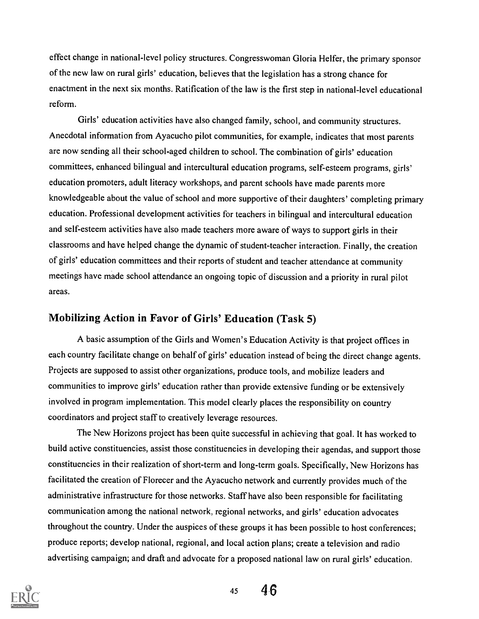effect change in national-level policy structures. Congresswoman Gloria Helfer, the primary sponsor of the new law on rural girls' education, believes that the legislation has a strong chance for enactment in the next six months. Ratification of the law is the first step in national-level educational reform.

Girls' education activities have also changed family, school, and community structures. Anecdotal information from Ayacucho pilot communities, for example, indicates that most parents are now sending all their school-aged children to school. The combination of girls' education committees, enhanced bilingual and intercultural education programs, self-esteem programs, girls' education promoters, adult literacy workshops, and parent schools have made parents more knowledgeable about the value of school and more supportive of their daughters' completing primary education. Professional development activities for teachers in bilingual and intercultural education and self-esteem activities have also made teachers more aware of ways to support girls in their classrooms and have helped change the dynamic of student-teacher interaction. Finally, the creation of girls' education committees and their reports of student and teacher attendance at community meetings have made school attendance an ongoing topic of discussion and a priority in rural pilot areas.

# Mobilizing Action in Favor of Girls' Education (Task 5)

A basic assumption of the Girls and Women's Education Activity is that project offices in each country facilitate change on behalf of girls' education instead of being the direct change agents. Projects are supposed to assist other organizations, produce tools, and mobilize leaders and communities to improve girls' education rather than provide extensive funding or be extensively involved in program implementation. This model clearly places the responsibility on country coordinators and project staff to creatively leverage resources.

The New Horizons project has been quite successful in achieving that goal. It has worked to build active constituencies, assist those constituencies in developing their agendas, and support those constituencies in their realization of short-term and long-term goals. Specifically, New Horizons has facilitated the creation of Florecer and the Ayacucho network and currently provides much of the administrative infrastructure for those networks. Staff have also been responsible for facilitating communication among the national network, regional networks, and girls' education advocates throughout the country. Under the auspices of these groups it has been possible to host conferences; produce reports; develop national, regional, and local action plans; create a television and radio advertising campaign; and draft and advocate for a proposed national law on rural girls' education.



<sup>45</sup> 4.6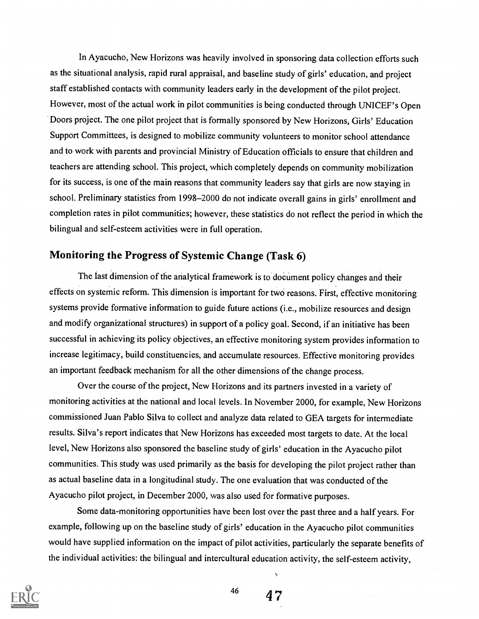In Ayacucho, New Horizons was heavily involved in sponsoring data collection efforts such as the situational analysis, rapid rural appraisal, and baseline study of girls' education, and project staff established contacts with community leaders early in the development of the pilot project. However, most of the actual work in pilot communities is being conducted through UNICEF's Open Doors project. The one pilot project that is formally sponsored by New Horizons, Girls' Education Support Committees, is designed to mobilize community volunteers to monitor school attendance and to work with parents and provincial Ministry of Education officials to ensure that children and teachers are attending school. This project, which completely depends on community mobilization for its success, is one of the main reasons that community leaders say that girls are now staying in school. Preliminary statistics from 1998-2000 do not indicate overall gains in girls' enrollment and completion rates in pilot communities; however, these statistics do not reflect the period in which the bilingual and self-esteem activities were in full operation.

# Monitoring the Progress of Systemic Change (Task 6)

The last dimension of the analytical framework is to document policy changes and their effects on systemic reform. This dimension is important for two reasons. First, effective monitoring systems provide formative information to guide future actions (i.e., mobilize resources and design and modify organizational structures) in support of a policy goal. Second, if an initiative has been successful in achieving its policy objectives, an effective monitoring system provides information to increase legitimacy, build constituencies, and accumulate resources. Effective monitoring provides an important feedback mechanism for all the other dimensions of the change process.

Over the course of the project, New Horizons and its partners invested in a variety of monitoring activities at the national and local levels. In November 2000, for example, New Horizons commissioned Juan Pablo Silva to collect and analyze data related to GEA targets for intermediate results. Silva's report indicates that New Horizons has exceeded most targets to date. At the local level, New Horizons also sponsored the baseline study of girls' education in the Ayacucho pilot communities. This study was used primarily as the basis for developing the pilot project rather than as actual baseline data in a longitudinal study. The one evaluation that was conducted of the Ayacucho pilot project, in December 2000, was also used for formative purposes.

Some data-monitoring opportunities have been lost over the past three and a half years. For example, following up on the baseline study of girls' education in the Ayacucho pilot communities would have supplied information on the impact of pilot activities, particularly the separate benefits of the individual activities: the bilingual and intercultural education activity, the self-esteem activity,



 $46$   $47$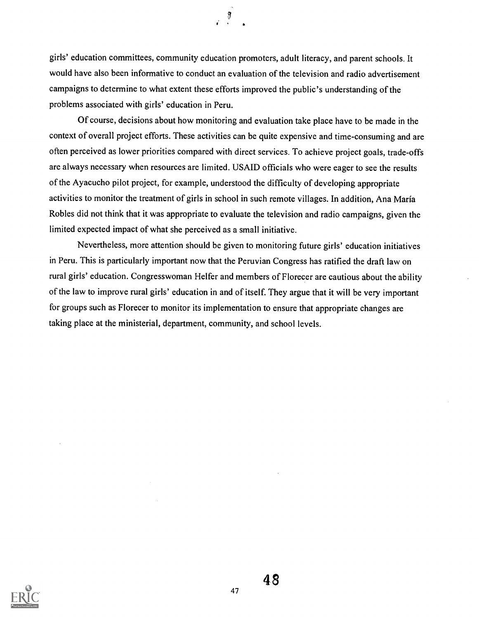girls' education committees, community education promoters, adult literacy, and parent schools. It would have also been informative to conduct an evaluation of the television and radio advertisement campaigns to determine to what extent these efforts improved the public's understanding of the problems associated with girls' education in Peru.

 $\cdot$  9

Of course, decisions about how monitoring and evaluation take place have to be made in the context of overall project efforts. These activities can be quite expensive and time-consuming and are often perceived as lower priorities compared with direct services. To achieve project goals, trade-offs are always necessary when resources are limited. USAID officials who were eager to see the results of the Ayacucho pilot project, for example, understood the difficulty of developing appropriate activities to monitor the treatment of girls in school in such remote villages. In addition, Ana Maria Robles did not think that it was appropriate to evaluate the television and radio campaigns, given the limited expected impact of what she perceived as a small initiative.

Nevertheless, more attention should be given to monitoring future girls' education initiatives in Peru. This is particularly important now that the Peruvian Congress has ratified the draft law on rural girls' education. Congresswoman Helfer and members of Florecer are cautious about the ability of the law to improve rural girls' education in and of itself. They argue that it will be very important for groups such as Florecer to monitor its implementation to ensure that appropriate changes are taking place at the ministerial, department, community, and school levels.

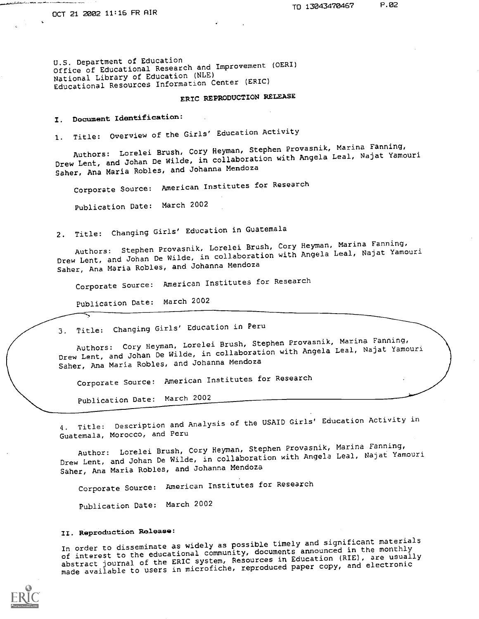U.S. Department of Education Office of Educational Research and Improvement (OERI) National Library of Education (NLE) Educational Resources Information Center (ERIC)

## ERIC REPRODUCTION RELEASE

I. Document Identification:

1. Title: Overview of the Girls' Education Activity

Authors: Lorelei Brush, Cory Heyman, Stephen Provasnik, Marina Fanning, Drew Lent, and Johan De Wilde, in collaboration with Angela Leal, Najat Yamouri Saber, Ana Maria Robles, and Johanna Mendoza

Corporate Source: American Institutes for Research

Publication Date: March 2002

2. Title: Changing Girls' Education in Guatemala

Authors: Stephen Provasnik, Lorelei Brush, Cory Heyman, Marina Fanning, Drew Lent, and Johan De Wilde, in collaboration with Angela Leal, Najat Yamouri Saber, Ana Maria Robles, and Johanna Mendoza

Corporate Source: American Institutes for Research

Publication Date: March 2002

3. Title: Changing Girls' Education in Peru

Authors: Cory Heyman, Lorelei Brush, Stephen Provasnik, Marina Fanning, Drew Lent, and Johan De Wilde, in collaboration with Angela Leal, Najat Yamouri Saher, Ana Maria Robles, and Johanna Mendoza

Corporate Source: American Institutes for Research

Publication Date: March 2002

4. Title: Description and Analysis of the USAID Girls' Education Activity in Guatemala, Morocco, and Peru

Author: Lorelei Brush, Cory Heyman, Stephen Provasnik, Marina Fanning, Drew Lent, and Johan De Wilde, in collaboration with Angela Leal, Najat Yamouri Saber, Ana Maria Robles, and Johanna Mendoza

Corporate Source: American Institutes for Research

Publication Date: March 2002

#### II. Reproduction Release:

In order to disseminate as widely as possible timely and significant materials of interest to the educational community, documents announced in the monthly abstract journal of the ERIC system, Resources in Education (RIE), are usually made available to users in microfiche, reproduced paper copy, and electronic

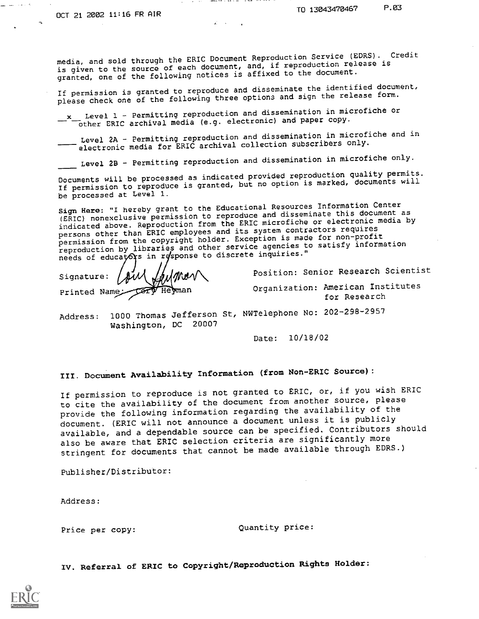لحاد مداريف السن

media, and sold through the ERIC Document Reproduction Service (EDRS). Credit is given to the source of each document, and, if reproduction release is granted, one of the following notices is affixed to the document.

 $-$  . where  $\lambda \in \mathbb{R}$  is a set  $\lambda \in \mathbb{R}$  . In the case of  $\lambda$ 

If permission is granted to reproduce and disseminate the identified document, please check one of the following three options and sign the release form.

-X Level 1 - Permitting reproduction and dissemination in microfiche or other ERIC archival media (e.g. electronic) and paper copy.

Level 2A - Permitting reproduction and dissemination in microfiche and in electronic media for ERIC archival collection subscribers only.

 $\_$  Level 2B - Permitting reproduction and dissemination in microfiche only.

Documents will be processed as indicated provided reproduction quality permits. If permission to reproduce is granted, but no option is marked, documents will be processed at Level I.

Sign Here: "I hereby grant to the Educational Resources Information Center sign hard. I hereby grand to reproduce and disseminate this document as<br>(ERIC) nonexclusive permission from the ERIC microfiche or electronic media by indicated above. Reproduction from the ERIC microfiche or electronic media by persons other than ERIC employees and its system contractors requires persons beneficial first where the copyright holder. Exception is made for non-profit reproduction by libraries and other service agencies to satisfy information needs of educators in response to discrete inquiries."

Signature:  $\beta$ il  $\beta$ ulmer Printed Name

Position: Senior Research Scientist

Organization: American Institutes for Research

Address: 1000 Thomas Jefferson St, NWTelephone No: 202-298-2957 Washington, DC 20007

Date: 10/18/02

III. Document Availability Information (from Non-ERIC Source):

If permission to reproduce is not granted to ERIC, or, if you wish ERIC to cite the availability of the document from another source, please provide the following information regarding the availability of the document. (ERIC will not announce a document unless it is publicly available, and a dependable source can be specified. Contributors should also be aware that ERIC selection criteria are significantly more stringent for documents that cannot be made available through EDRS.)

Publisher/Distributor:

Address:

Price per copy:  $Quantity price:$ 

IV. Referral of ERIC to Copyright/Reproduction Rights Holder: